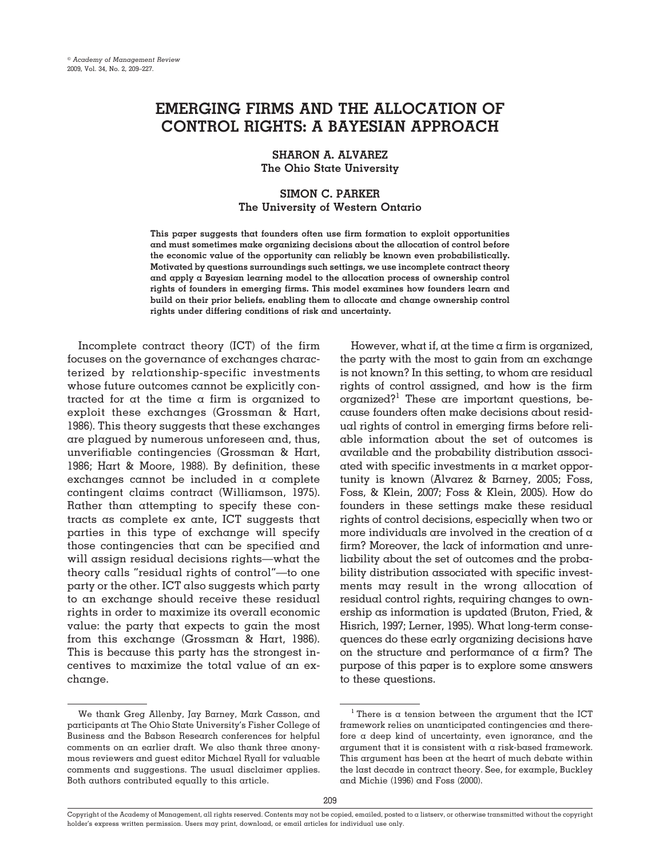# **EMERGING FIRMS AND THE ALLOCATION OF CONTROL RIGHTS: A BAYESIAN APPROACH**

**SHARON A. ALVAREZ The Ohio State University**

## **SIMON C. PARKER The University of Western Ontario**

**This paper suggests that founders often use firm formation to exploit opportunities and must sometimes make organizing decisions about the allocation of control before the economic value of the opportunity can reliably be known even probabilistically. Motivated by questions surroundings such settings, we use incomplete contract theory and apply a Bayesian learning model to the allocation process of ownership control rights of founders in emerging firms. This model examines how founders learn and build on their prior beliefs, enabling them to allocate and change ownership control rights under differing conditions of risk and uncertainty.**

Incomplete contract theory (ICT) of the firm focuses on the governance of exchanges characterized by relationship-specific investments whose future outcomes cannot be explicitly contracted for at the time a firm is organized to exploit these exchanges (Grossman & Hart, 1986). This theory suggests that these exchanges are plagued by numerous unforeseen and, thus, unverifiable contingencies (Grossman & Hart, 1986; Hart & Moore, 1988). By definition, these exchanges cannot be included in a complete contingent claims contract (Williamson, 1975). Rather than attempting to specify these contracts as complete ex ante, ICT suggests that parties in this type of exchange will specify those contingencies that can be specified and will assign residual decisions rights—what the theory calls "residual rights of control"—to one party or the other. ICT also suggests which party to an exchange should receive these residual rights in order to maximize its overall economic value: the party that expects to gain the most from this exchange (Grossman & Hart, 1986). This is because this party has the strongest incentives to maximize the total value of an exchange.

However, what if, at the time  $\alpha$  firm is organized, the party with the most to gain from an exchange is not known? In this setting, to whom are residual rights of control assigned, and how is the firm organized?<sup>1</sup> These are important questions, because founders often make decisions about residual rights of control in emerging firms before reliable information about the set of outcomes is available and the probability distribution associated with specific investments in a market opportunity is known (Alvarez & Barney, 2005; Foss, Foss, & Klein, 2007; Foss & Klein, 2005). How do founders in these settings make these residual rights of control decisions, especially when two or more individuals are involved in the creation of  $\alpha$ firm? Moreover, the lack of information and unreliability about the set of outcomes and the probability distribution associated with specific investments may result in the wrong allocation of residual control rights, requiring changes to ownership as information is updated (Bruton, Fried, & Hisrich, 1997; Lerner, 1995). What long-term consequences do these early organizing decisions have on the structure and performance of a firm? The purpose of this paper is to explore some answers to these questions.

We thank Greg Allenby, Jay Barney, Mark Casson, and participants at The Ohio State University's Fisher College of Business and the Babson Research conferences for helpful comments on an earlier draft. We also thank three anonymous reviewers and guest editor Michael Ryall for valuable comments and suggestions. The usual disclaimer applies. Both authors contributed equally to this article.

 $^{\rm l}$  There is a tension between the argument that the ICT framework relies on unanticipated contingencies and therefore a deep kind of uncertainty, even ignorance, and the argument that it is consistent with a risk-based framework. This argument has been at the heart of much debate within the last decade in contract theory. See, for example, Buckley and Michie (1996) and Foss (2000).

Copyright of the Academy of Management, all rights reserved. Contents may not be copied, emailed, posted to a listserv, or otherwise transmitted without the copyright holder's express written permission. Users may print, download, or email articles for individual use only.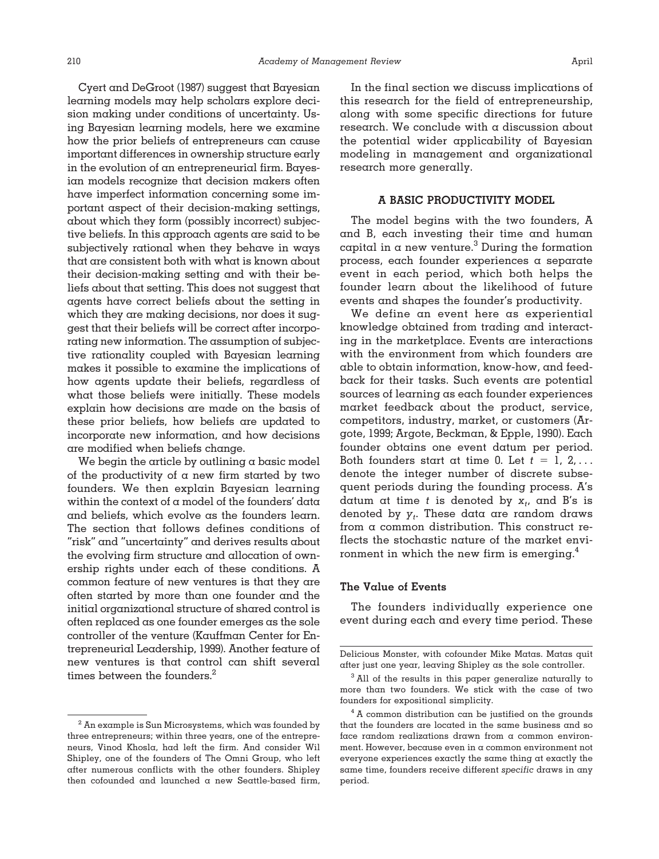Cyert and DeGroot (1987) suggest that Bayesian learning models may help scholars explore decision making under conditions of uncertainty. Using Bayesian learning models, here we examine how the prior beliefs of entrepreneurs can cause important differences in ownership structure early in the evolution of an entrepreneurial firm. Bayesian models recognize that decision makers often have imperfect information concerning some important aspect of their decision-making settings, about which they form (possibly incorrect) subjective beliefs. In this approach agents are said to be subjectively rational when they behave in ways that are consistent both with what is known about their decision-making setting and with their beliefs about that setting. This does not suggest that agents have correct beliefs about the setting in which they are making decisions, nor does it suggest that their beliefs will be correct after incorporating new information. The assumption of subjective rationality coupled with Bayesian learning makes it possible to examine the implications of how agents update their beliefs, regardless of what those beliefs were initially. These models explain how decisions are made on the basis of these prior beliefs, how beliefs are updated to incorporate new information, and how decisions are modified when beliefs change.

We begin the article by outlining  $\alpha$  basic model of the productivity of  $\alpha$  new firm started by two founders. We then explain Bayesian learning within the context of a model of the founders' data and beliefs, which evolve as the founders learn. The section that follows defines conditions of "risk" and "uncertainty" and derives results about the evolving firm structure and allocation of ownership rights under each of these conditions. A common feature of new ventures is that they are often started by more than one founder and the initial organizational structure of shared control is often replaced as one founder emerges as the sole controller of the venture (Kauffman Center for Entrepreneurial Leadership, 1999). Another feature of new ventures is that control can shift several times between the founders.<sup>2</sup>

In the final section we discuss implications of this research for the field of entrepreneurship, along with some specific directions for future research. We conclude with a discussion about the potential wider applicability of Bayesian modeling in management and organizational research more generally.

## **A BASIC PRODUCTIVITY MODEL**

The model begins with the two founders, A and B, each investing their time and human capital in a new venture.<sup>3</sup> During the formation process, each founder experiences a separate event in each period, which both helps the founder learn about the likelihood of future events and shapes the founder's productivity.

We define an event here as experiential knowledge obtained from trading and interacting in the marketplace. Events are interactions with the environment from which founders are able to obtain information, know-how, and feedback for their tasks. Such events are potential sources of learning as each founder experiences market feedback about the product, service, competitors, industry, market, or customers (Argote, 1999; Argote, Beckman, & Epple, 1990). Each founder obtains one event datum per period. Both founders start at time 0. Let  $t = 1, 2, \ldots$ denote the integer number of discrete subsequent periods during the founding process. A's datum at time  $t$  is denoted by  $\mathsf{x}_t$ , and  $\mathsf{B}'\mathsf{s}$  is denoted by *yt* . These data are random draws from a common distribution. This construct reflects the stochastic nature of the market environment in which the new firm is emerging.<sup>4</sup>

#### **The Value of Events**

The founders individually experience one event during each and every time period. These

 $^2$  An example is Sun Microsystems, which was founded by three entrepreneurs; within three years, one of the entrepreneurs, Vinod Khosla, had left the firm. And consider Wil Shipley, one of the founders of The Omni Group, who left after numerous conflicts with the other founders. Shipley then cofounded and launched a new Seattle-based firm,

Delicious Monster, with cofounder Mike Matas. Matas quit after just one year, leaving Shipley as the sole controller.

<sup>&</sup>lt;sup>3</sup> All of the results in this paper generalize naturally to more than two founders. We stick with the case of two founders for expositional simplicity.

<sup>&</sup>lt;sup>4</sup> A common distribution can be justified on the grounds that the founders are located in the same business and so face random realizations drawn from a common environment. However, because even in a common environment not everyone experiences exactly the same thing at exactly the same time, founders receive different *specific* draws in any period.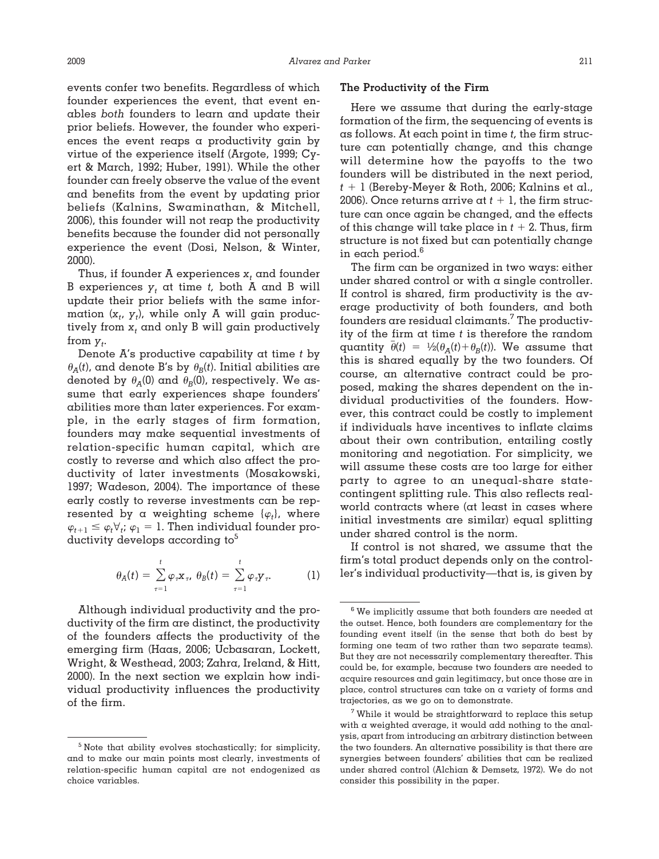events confer two benefits. Regardless of which founder experiences the event, that event enables *both* founders to learn and update their prior beliefs. However, the founder who experiences the event reaps a productivity gain by virtue of the experience itself (Argote, 1999; Cyert & March, 1992; Huber, 1991). While the other founder can freely observe the value of the event and benefits from the event by updating prior beliefs (Kalnins, Swaminathan, & Mitchell, 2006), this founder will not reap the productivity benefits because the founder did not personally experience the event (Dosi, Nelson, & Winter, 2000).

Thus, if founder  $A$  experiences  $x_t$  and founder B experiences  $y_t$  at time  $t$ , both A and B will update their prior beliefs with the same information  $(x_t, y_t)$ , while only  $A$  will gain productively from  $x_t$  and only B will gain productively from  $y_t$ .

Denote A's productive capability at time *t* by  $\theta_A(t)$ , and denote B's by  $\theta_B(t)$ . Initial abilities are denoted by  $\theta_A(0)$  and  $\theta_B(0)$ , respectively. We assume that early experiences shape founders' abilities more than later experiences. For example, in the early stages of firm formation, founders may make sequential investments of relation-specific human capital, which are costly to reverse and which also affect the productivity of later investments (Mosakowski, 1997; Wadeson, 2004). The importance of these early costly to reverse investments can be represented by a weighting scheme  $\{\varphi_t\}$ , where  $\varphi_{t+1} \leq \varphi_t \forall_i$ ;  $\varphi_1 = 1$ . Then individual founder productivity develops according to $\delta$ 

$$
\theta_A(t) = \sum_{\tau=1}^t \varphi_\tau \mathbf{x}_\tau, \ \theta_B(t) = \sum_{\tau=1}^t \varphi_\tau \mathbf{y}_\tau. \tag{1}
$$

Although individual productivity and the productivity of the firm are distinct, the productivity of the founders affects the productivity of the emerging firm (Haas, 2006; Ucbasaran, Lockett, Wright, & Westhead, 2003; Zahra, Ireland, & Hitt, 2000). In the next section we explain how individual productivity influences the productivity of the firm.

### **The Productivity of the Firm**

Here we assume that during the early-stage formation of the firm, the sequencing of events is as follows. At each point in time *t,* the firm structure can potentially change, and this change will determine how the payoffs to the two founders will be distributed in the next period, *t* - 1 (Bereby-Meyer & Roth, 2006; Kalnins et al., 2006). Once returns arrive at  $t+1$ , the firm structure can once again be changed, and the effects of this change will take place in  $t + 2$ . Thus, firm structure is not fixed but can potentially change in each period.6

The firm can be organized in two ways: either under shared control or with  $\alpha$  single controller. If control is shared, firm productivity is the average productivity of both founders, and both founders are residual claimants.7 The productivity of the firm at time *t* is therefore the random quantity  $\bar{\theta}(t) = \frac{1}{2}(\theta_A(t) + \theta_B(t))$ . We assume that this is shared equally by the two founders. Of course, an alternative contract could be proposed, making the shares dependent on the individual productivities of the founders. However, this contract could be costly to implement if individuals have incentives to inflate claims about their own contribution, entailing costly monitoring and negotiation. For simplicity, we will assume these costs are too large for either party to agree to an unequal-share statecontingent splitting rule. This also reflects realworld contracts where (at least in cases where initial investments are similar) equal splitting under shared control is the norm.

If control is not shared, we assume that the firm's total product depends only on the controller's individual productivity—that is, is given by

<sup>5</sup> Note that ability evolves stochastically; for simplicity, and to make our main points most clearly, investments of relation-specific human capital are not endogenized as choice variables.

 $6$  We implicitly assume that both founders are needed at the outset. Hence, both founders are complementary for the founding event itself (in the sense that both do best by forming one team of two rather than two separate teams). But they are not necessarily complementary thereafter. This could be, for example, because two founders are needed to acquire resources and gain legitimacy, but once those are in place, control structures can take on a variety of forms and trajectories, as we go on to demonstrate.

 $7$  While it would be straightforward to replace this setup with a weighted average, it would add nothing to the analysis, apart from introducing an arbitrary distinction between the two founders. An alternative possibility is that there are synergies between founders' abilities that can be realized under shared control (Alchian & Demsetz, 1972). We do not consider this possibility in the paper.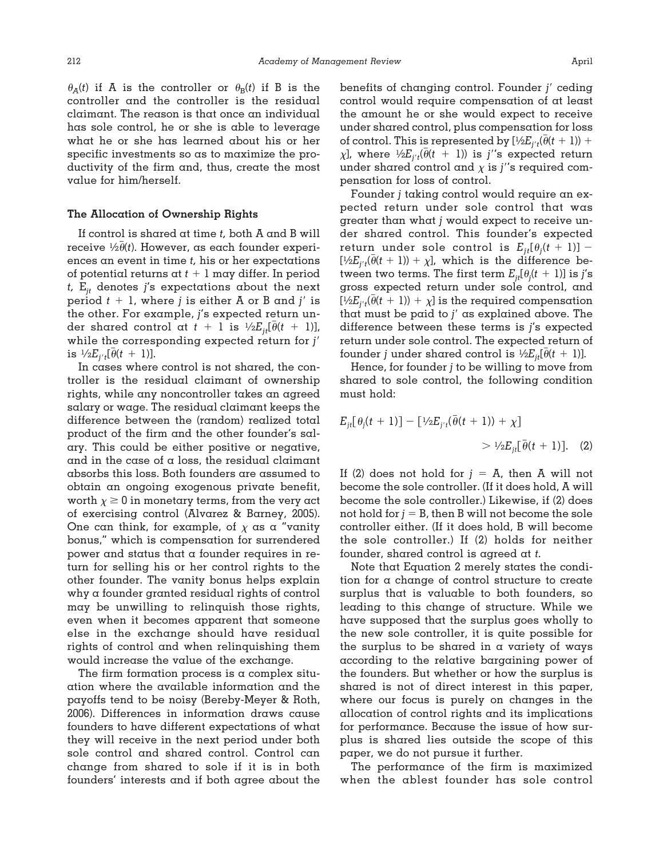$\theta_A(t)$  if A is the controller or  $\theta_B(t)$  if B is the controller and the controller is the residual claimant. The reason is that once an individual has sole control, he or she is able to leverage what he or she has learned about his or her specific investments so as to maximize the productivity of the firm and, thus, create the most value for him/herself.

#### **The Allocation of Ownership Rights**

If control is shared at time *t,* both A and B will receive  $\frac{1}{2}\theta(t)$ . However, as each founder experiences an event in time *t,* his or her expectations of potential returns at  $t + 1$  may differ. In period  $t$ ,  $E_{it}$  denotes *j's* expectations about the next period *t* - 1, where *j* is either A or B and *j* is the other. For example, *j*'s expected return un- $\det$  shared control at  $t + 1$  is  $\frac{1}{2} E_{jt}[\bar{\theta}(t + 1)]$ , while the corresponding expected return for *j* is  $\frac{1}{2}E_{j't}[\bar{\theta}(t + 1)].$ 

In cases where control is not shared, the controller is the residual claimant of ownership rights, while any noncontroller takes an agreed salary or wage. The residual claimant keeps the difference between the (random) realized total product of the firm and the other founder's salary. This could be either positive or negative, and in the case of  $\alpha$  loss, the residual claimant absorbs this loss. Both founders are assumed to obtain an ongoing exogenous private benefit, worth  $\chi \geq 0$  in monetary terms, from the very act of exercising control (Alvarez & Barney, 2005). One can think, for example, of  $\chi$  as a "vanity" bonus," which is compensation for surrendered power and status that a founder requires in return for selling his or her control rights to the other founder. The vanity bonus helps explain why a founder granted residual rights of control may be unwilling to relinquish those rights, even when it becomes apparent that someone else in the exchange should have residual rights of control and when relinquishing them would increase the value of the exchange.

The firm formation process is a complex situation where the available information and the payoffs tend to be noisy (Bereby-Meyer & Roth, 2006). Differences in information draws cause founders to have different expectations of what they will receive in the next period under both sole control and shared control. Control can change from shared to sole if it is in both founders' interests and if both agree about the benefits of changing control. Founder *j* ceding control would require compensation of at least the amount he or she would expect to receive under shared control, plus compensation for loss of control. This is represented by  $[\frac{1}{2}E_{j't}(\bar{\theta}(t+1)) +$  $\chi$ ], where  $\frac{1}{2}$   $\chi$ *E*<sub>*j't*</sub>( $\bar{\theta}$ (*t* + 1)) is *j''*s expected return under shared control and  $\chi$  is *j*''s required compensation for loss of control.

Founder *j* taking control would require an expected return under sole control that was greater than what *j* would expect to receive under shared control. This founder's expected  $r$ eturn under sole control is  $E_{jt}[\theta_j(t+1)] [\frac{1}{2}E_{j't}(\bar{\theta}(t+1)) + \chi]$ , which is the difference between two terms. The first term  $E_{jt}[\theta_{j}(t\ +\ 1)]$  is  $j^{\prime}$ s gross expected return under sole control, and  $[\frac{1}{2}E_{j't}(\bar{\theta}(t+1))+\chi]$  is the required compensation that must be paid to *j* as explained above. The difference between these terms is *j*'s expected return under sole control. The expected return of founder *j* under shared control is  $\frac{1}{2}E_{jt}[\bar{\theta}(t + 1)]$ .

Hence, for founder *j* to be willing to move from shared to sole control, the following condition must hold:

$$
E_{ji}[\theta_j(t+1)] - [\frac{1}{2}E_{j't}(\bar{\theta}(t+1)) + \chi] \quad \text{and} \quad \frac{1}{2}E_{ji}[\bar{\theta}(t+1)]. \quad (2)
$$

If (2) does not hold for  $j = A$ , then A will not become the sole controller. (If it does hold, A will become the sole controller.) Likewise, if (2) does not hold for  $j = B$ , then B will not become the sole controller either. (If it does hold, B will become the sole controller.) If (2) holds for neither founder, shared control is agreed at *t.*

Note that Equation 2 merely states the condition for a change of control structure to create surplus that is valuable to both founders, so leading to this change of structure. While we have supposed that the surplus goes wholly to the new sole controller, it is quite possible for the surplus to be shared in a variety of ways according to the relative bargaining power of the founders. But whether or how the surplus is shared is not of direct interest in this paper, where our focus is purely on changes in the allocation of control rights and its implications for performance. Because the issue of how surplus is shared lies outside the scope of this paper, we do not pursue it further.

The performance of the firm is maximized when the ablest founder has sole control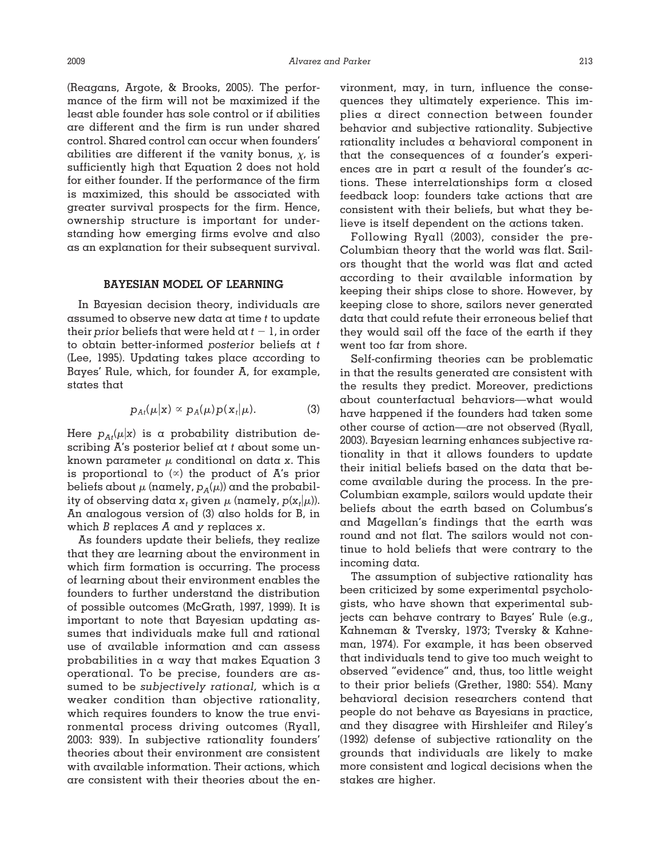(Reagans, Argote, & Brooks, 2005). The performance of the firm will not be maximized if the least able founder has sole control or if abilities are different and the firm is run under shared control. Shared control can occur when founders' abilities are different if the vanity bonus,  $\chi$ , is sufficiently high that Equation 2 does not hold for either founder. If the performance of the firm is maximized, this should be associated with greater survival prospects for the firm. Hence, ownership structure is important for understanding how emerging firms evolve and also as an explanation for their subsequent survival.

#### **BAYESIAN MODEL OF LEARNING**

In Bayesian decision theory, individuals are assumed to observe new data at time *t* to update their *prior* beliefs that were held at  $t - 1$ , in order to obtain better-informed *posterior* beliefs at *t* (Lee, 1995). Updating takes place according to Bayes' Rule, which, for founder A, for example, states that

$$
p_{At}(\mu|\mathbf{x}) \propto p_A(\mu)p(\mathbf{x}_t|\mu). \tag{3}
$$

Here  $p_{A t}(\mu|\mathrm{x})$  is a probability distribution describing A's posterior belief at *t* about some unknown parameter  $\mu$  conditional on data *x*. This is proportional to  $(x)$  the product of A's prior beliefs about  $\mu$  (namely,  $p_A(\mu)$ ) and the probability of observing data  $x_t$  given  $\mu$  (namely,  $p(x_t|\mu)$ ). An analogous version of (3) also holds for B, in which *B* replaces *A* and *y* replaces *x*.

As founders update their beliefs, they realize that they are learning about the environment in which firm formation is occurring. The process of learning about their environment enables the founders to further understand the distribution of possible outcomes (McGrath, 1997, 1999). It is important to note that Bayesian updating assumes that individuals make full and rational use of available information and can assess probabilities in a way that makes Equation 3 operational. To be precise, founders are assumed to be *subjectively rational,* which is a weaker condition than objective rationality, which requires founders to know the true environmental process driving outcomes (Ryall, 2003: 939). In subjective rationality founders' theories about their environment are consistent with available information. Their actions, which are consistent with their theories about the environment, may, in turn, influence the consequences they ultimately experience. This implies a direct connection between founder behavior and subjective rationality. Subjective rationality includes a behavioral component in that the consequences of a founder's experiences are in part a result of the founder's actions. These interrelationships form a closed feedback loop: founders take actions that are consistent with their beliefs, but what they believe is itself dependent on the actions taken.

Following Ryall (2003), consider the pre-Columbian theory that the world was flat. Sailors thought that the world was flat and acted according to their available information by keeping their ships close to shore. However, by keeping close to shore, sailors never generated data that could refute their erroneous belief that they would sail off the face of the earth if they went too far from shore.

Self-confirming theories can be problematic in that the results generated are consistent with the results they predict. Moreover, predictions about counterfactual behaviors—what would have happened if the founders had taken some other course of action—are not observed (Ryall, 2003). Bayesian learning enhances subjective rationality in that it allows founders to update their initial beliefs based on the data that become available during the process. In the pre-Columbian example, sailors would update their beliefs about the earth based on Columbus's and Magellan's findings that the earth was round and not flat. The sailors would not continue to hold beliefs that were contrary to the incoming data.

The assumption of subjective rationality has been criticized by some experimental psychologists, who have shown that experimental subjects can behave contrary to Bayes' Rule (e.g., Kahneman & Tversky, 1973; Tversky & Kahneman, 1974). For example, it has been observed that individuals tend to give too much weight to observed "evidence" and, thus, too little weight to their prior beliefs (Grether, 1980: 554). Many behavioral decision researchers contend that people do not behave as Bayesians in practice, and they disagree with Hirshleifer and Riley's (1992) defense of subjective rationality on the grounds that individuals are likely to make more consistent and logical decisions when the stakes are higher.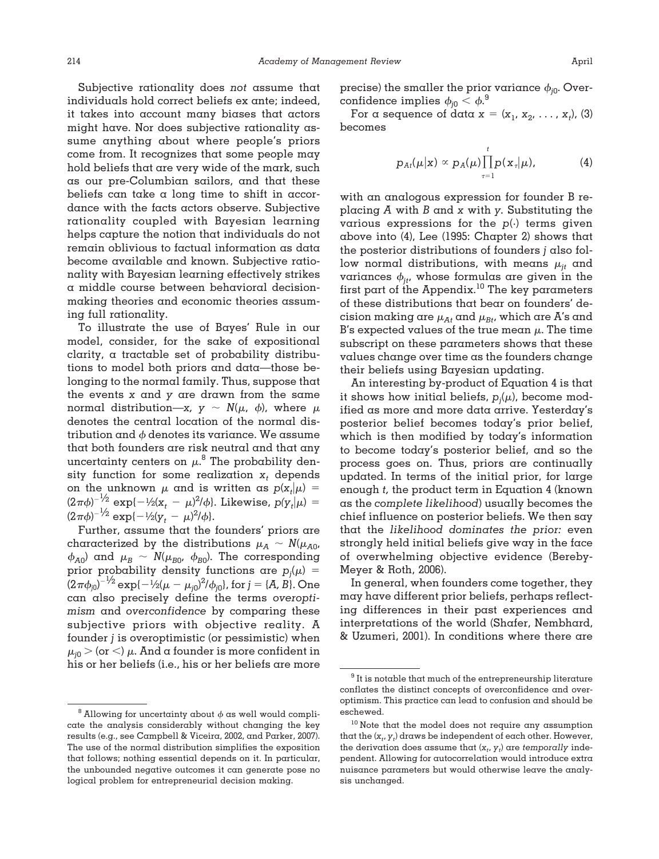Subjective rationality does *not* assume that individuals hold correct beliefs ex ante; indeed, it takes into account many biases that actors might have. Nor does subjective rationality assume anything about where people's priors come from. It recognizes that some people may hold beliefs that are very wide of the mark, such as our pre-Columbian sailors, and that these beliefs can take a long time to shift in accordance with the facts actors observe. Subjective rationality coupled with Bayesian learning helps capture the notion that individuals do not remain oblivious to factual information as data become available and known. Subjective rationality with Bayesian learning effectively strikes a middle course between behavioral decisionmaking theories and economic theories assuming full rationality.

To illustrate the use of Bayes' Rule in our model, consider, for the sake of expositional clarity, a tractable set of probability distributions to model both priors and data—those belonging to the normal family. Thus, suppose that the events *x* and *y* are drawn from the same normal distribution—*x*,  $y \sim N(\mu, \phi)$ , where  $\mu$ denotes the central location of the normal distribution and  $\phi$  denotes its variance. We assume that both founders are risk neutral and that any uncertainty centers on  $\mu$ .<sup>8</sup> The probability density function for some realization  $x_t$  depends on the unknown  $\mu$  and is written as  $p(x_t|\mu) =$  $(2\pi\phi)^{-1/2}$  exp $\{-1/2(x_t - \mu)^2/\phi\}$ . Likewise,  $p(y_t|\mu)$  =  $(2\pi\phi)^{-1/2} \exp\{-1/2(y_t - \mu)^2/\phi\}.$ 

Further, assume that the founders' priors are characterized by the distributions  $\mu_A \sim N(\mu_{A0},$  $\phi_{A0}$  and  $\mu_B \sim N(\mu_{B0}, \phi_{B0})$ . The corresponding prior probability density functions are  $p_j(\mu) =$  $(2\pi\phi_{j0})^{-1/2}$  exp{ $-1/2(\mu-\mu_{j0})^2/\phi_{j0}$ }, for  $j = \{A, B\}$ . One can also precisely define the terms *overoptimism* and *overconfidence* by comparing these subjective priors with objective reality. A founder *j* is overoptimistic (or pessimistic) when  $\mu_{j0}$   $>$  (or  $<$ )  $\mu.$  And a founder is more confident in his or her beliefs (i.e., his or her beliefs are more precise) the smaller the prior variance  $\phi_{i0}$ . Overconfidence implies  $\phi_{j0} < \phi$ . $^9$ 

For a sequence of data  $x = (x_1, x_2, \ldots, x_t)$ , (3) becomes

$$
p_{Ai}(\mu|\mathbf{x}) \propto p_A(\mu) \prod_{\tau=1}^t p(\mathbf{x}_{\tau}|\mu), \tag{4}
$$

with an analogous expression for founder B replacing *A* with *B* and *x* with *y.* Substituting the various expressions for the *p*(·) terms given above into (4), Lee (1995: Chapter 2) shows that the posterior distributions of founders *j* also follow normal distributions, with means  $\mu_{it}$  and variances  $\phi_{jt}$ , whose formulas are given in the first part of the Appendix.<sup>10</sup> The key parameters of these distributions that bear on founders' decision making are  $\mu_{A}$  and  $\mu_{B}$ , which are A's and B's expected values of the true mean  $\mu$ . The time subscript on these parameters shows that these values change over time as the founders change their beliefs using Bayesian updating.

An interesting by-product of Equation 4 is that it shows how initial beliefs,  $p_j(\mu)$ , become modified as more and more data arrive. Yesterday's posterior belief becomes today's prior belief, which is then modified by today's information to become today's posterior belief, and so the process goes on. Thus, priors are continually updated. In terms of the initial prior, for large enough *t,* the product term in Equation 4 (known as the *complete likelihood*) usually becomes the chief influence on posterior beliefs. We then say that the *likelihood dominates the prior:* even strongly held initial beliefs give way in the face of overwhelming objective evidence (Bereby-Meyer & Roth, 2006).

In general, when founders come together, they may have different prior beliefs, perhaps reflecting differences in their past experiences and interpretations of the world (Shafer, Nembhard, & Uzumeri, 2001). In conditions where there are

<sup>&</sup>lt;sup>8</sup> Allowing for uncertainty about  $\phi$  as well would complicate the analysis considerably without changing the key results (e.g., see Campbell & Viceira, 2002, and Parker, 2007). The use of the normal distribution simplifies the exposition that follows; nothing essential depends on it. In particular, the unbounded negative outcomes it can generate pose no logical problem for entrepreneurial decision making.

 $9$  It is notable that much of the entrepreneurship literature conflates the distinct concepts of overconfidence and overoptimism. This practice can lead to confusion and should be eschewed.

<sup>&</sup>lt;sup>10</sup> Note that the model does not require any assumption that the  $(\mathsf{x}_t, \mathsf{y}_t)$  draws be independent of each other. However, the derivation does assume that  $(x_{t}, y_{t})$  are  ${\it temporally}$  independent. Allowing for autocorrelation would introduce extra nuisance parameters but would otherwise leave the analysis unchanged.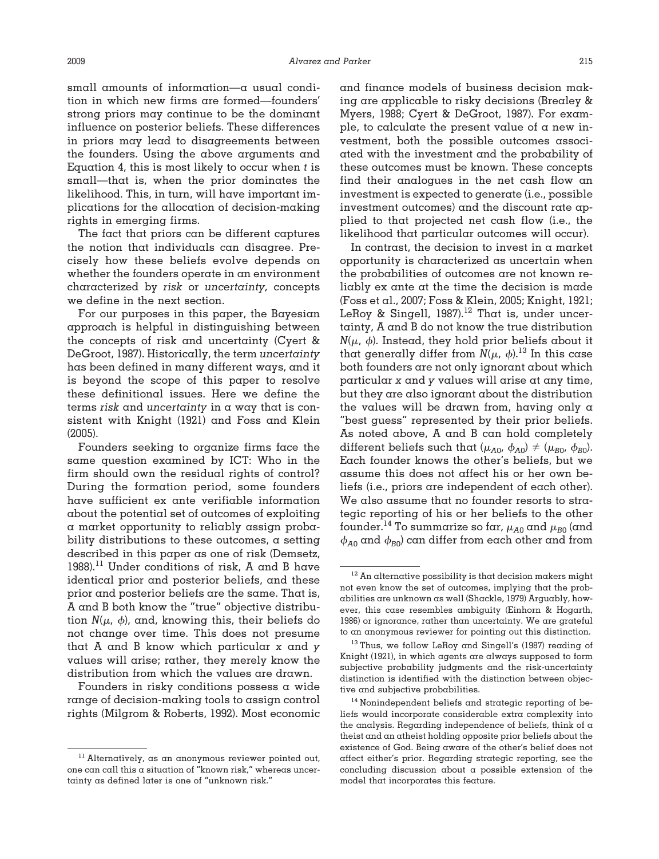small amounts of information—a usual condition in which new firms are formed—founders' strong priors may continue to be the dominant influence on posterior beliefs. These differences in priors may lead to disagreements between the founders. Using the above arguments and Equation 4, this is most likely to occur when *t* is small—that is, when the prior dominates the likelihood. This, in turn, will have important implications for the allocation of decision-making rights in emerging firms.

The fact that priors can be different captures the notion that individuals can disagree. Precisely how these beliefs evolve depends on whether the founders operate in an environment characterized by *risk* or *uncertainty,* concepts we define in the next section.

For our purposes in this paper, the Bayesian approach is helpful in distinguishing between the concepts of risk and uncertainty (Cyert & DeGroot, 1987). Historically, the term *uncertainty* has been defined in many different ways, and it is beyond the scope of this paper to resolve these definitional issues. Here we define the terms *risk* and *uncertainty* in a way that is consistent with Knight (1921) and Foss and Klein (2005).

Founders seeking to organize firms face the same question examined by ICT: Who in the firm should own the residual rights of control? During the formation period, some founders have sufficient ex ante verifiable information about the potential set of outcomes of exploiting a market opportunity to reliably assign probability distributions to these outcomes,  $\alpha$  setting described in this paper as one of risk (Demsetz, 1988).<sup>11</sup> Under conditions of risk, A and B have identical prior and posterior beliefs, and these prior and posterior beliefs are the same. That is, A and B both know the "true" objective distribution  $N(\mu, \phi)$ , and, knowing this, their beliefs do not change over time. This does not presume that A and B know which particular *x* and *y* values will arise; rather, they merely know the distribution from which the values are drawn.

Founders in risky conditions possess a wide range of decision-making tools to assign control rights (Milgrom & Roberts, 1992). Most economic and finance models of business decision making are applicable to risky decisions (Brealey & Myers, 1988; Cyert & DeGroot, 1987). For example, to calculate the present value of  $\alpha$  new investment, both the possible outcomes associated with the investment and the probability of these outcomes must be known. These concepts find their analogues in the net cash flow an investment is expected to generate (i.e., possible investment outcomes) and the discount rate applied to that projected net cash flow (i.e., the likelihood that particular outcomes will occur).

In contrast, the decision to invest in a market opportunity is characterized as uncertain when the probabilities of outcomes are not known reliably ex ante at the time the decision is made (Foss et al., 2007; Foss & Klein, 2005; Knight, 1921; LeRoy & Singell, 1987).<sup>12</sup> That is, under uncertainty, A and B do not know the true distribution  $N(\mu, \phi)$ . Instead, they hold prior beliefs about it that generally differ from  $N(\mu, \phi)$ .<sup>13</sup> In this case both founders are not only ignorant about which particular *x* and *y* values will arise at any time, but they are also ignorant about the distribution the values will be drawn from, having only a "best guess" represented by their prior beliefs. As noted above, A and B can hold completely different beliefs such that  $(\mu_{A0}, \phi_{A0}) \neq (\mu_{B0}, \phi_{B0})$ . Each founder knows the other's beliefs, but we assume this does not affect his or her own beliefs (i.e., priors are independent of each other). We also assume that no founder resorts to strategic reporting of his or her beliefs to the other founder.<sup>14</sup> To summarize so far,  $\mu_{A0}$  and  $\mu_{B0}$  (and  $\phi_{A0}$  and  $\phi_{B0}$ ) can differ from each other and from

 $11$  Alternatively, as an anonymous reviewer pointed out, one can call this a situation of "known risk," whereas uncertainty as defined later is one of "unknown risk."

 $12$  An alternative possibility is that decision makers might not even know the set of outcomes, implying that the probabilities are unknown as well (Shackle, 1979) Arguably, however, this case resembles ambiguity (Einhorn & Hogarth, 1986) or ignorance, rather than uncertainty. We are grateful to an anonymous reviewer for pointing out this distinction.

<sup>&</sup>lt;sup>13</sup> Thus, we follow LeRoy and Singell's (1987) reading of Knight (1921), in which agents are always supposed to form subjective probability judgments and the risk-uncertainty distinction is identified with the distinction between objective and subjective probabilities.

<sup>14</sup> Nonindependent beliefs and strategic reporting of beliefs would incorporate considerable extra complexity into the analysis. Regarding independence of beliefs, think of a theist and an atheist holding opposite prior beliefs about the existence of God. Being aware of the other's belief does not affect either's prior. Regarding strategic reporting, see the concluding discussion about a possible extension of the model that incorporates this feature.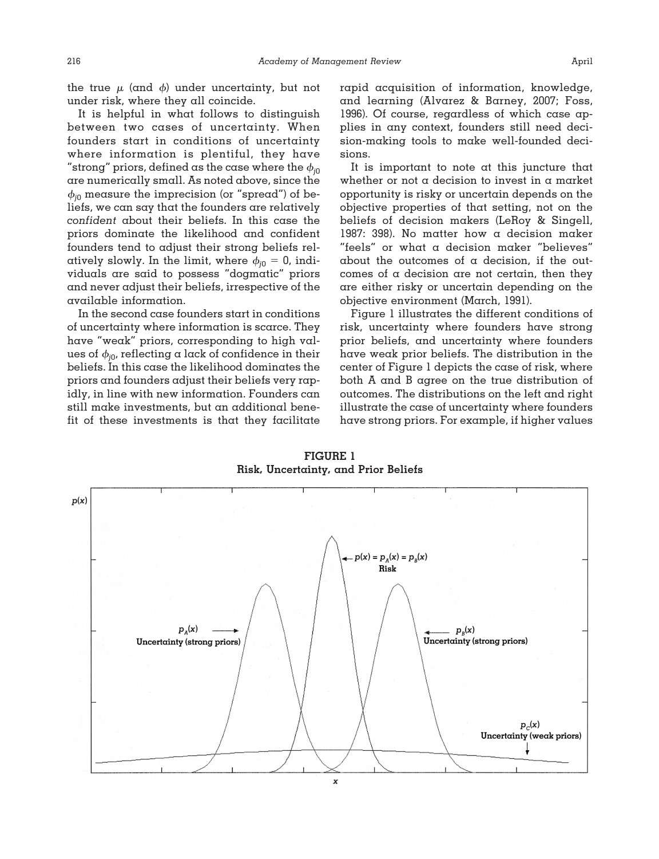the true  $\mu$  (and  $\phi$ ) under uncertainty, but not under risk, where they all coincide.

It is helpful in what follows to distinguish between two cases of uncertainty. When founders start in conditions of uncertainty where information is plentiful, they have "strong" priors, defined as the case where the  $\phi_{i0}$ are numerically small. As noted above, since the  $\phi_{i0}$  measure the imprecision (or "spread") of beliefs, we can say that the founders are relatively *confident* about their beliefs. In this case the priors dominate the likelihood and confident founders tend to adjust their strong beliefs relatively slowly. In the limit, where  $\phi_{j0} = 0$ , individuals are said to possess "dogmatic" priors and never adjust their beliefs, irrespective of the available information.

In the second case founders start in conditions of uncertainty where information is scarce. They have "weak" priors, corresponding to high values of  $\phi_{i0}$ , reflecting a lack of confidence in their beliefs. In this case the likelihood dominates the priors and founders adjust their beliefs very rapidly, in line with new information. Founders can still make investments, but an additional benefit of these investments is that they facilitate rapid acquisition of information, knowledge, and learning (Alvarez & Barney, 2007; Foss, 1996). Of course, regardless of which case applies in any context, founders still need decision-making tools to make well-founded decisions.

It is important to note at this juncture that whether or not a decision to invest in a market opportunity is risky or uncertain depends on the objective properties of that setting, not on the beliefs of decision makers (LeRoy & Singell, 1987: 398). No matter how a decision maker "feels" or what a decision maker "believes" about the outcomes of a decision, if the outcomes of a decision are not certain, then they are either risky or uncertain depending on the objective environment (March, 1991).

Figure 1 illustrates the different conditions of risk, uncertainty where founders have strong prior beliefs, and uncertainty where founders have weak prior beliefs. The distribution in the center of Figure 1 depicts the case of risk, where both A and B agree on the true distribution of outcomes. The distributions on the left and right illustrate the case of uncertainty where founders have strong priors. For example, if higher values

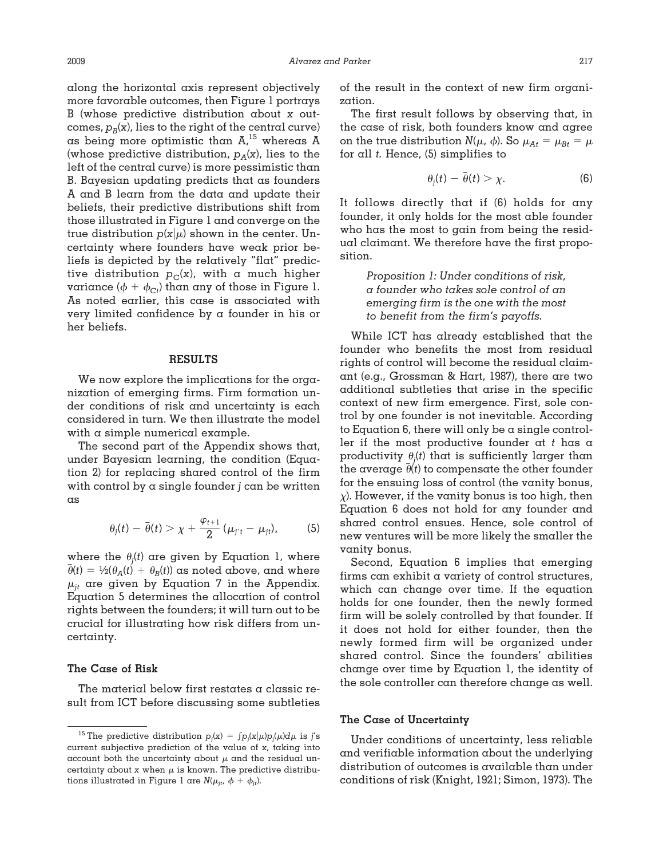along the horizontal axis represent objectively more favorable outcomes, then Figure 1 portrays B (whose predictive distribution about *x* outcomes,  $p_B(x)$ , lies to the right of the central curve) as being more optimistic than  $A, ^{15}$  whereas  $A$ (whose predictive distribution,  $p_A(x)$ , lies to the left of the central curve) is more pessimistic than B. Bayesian updating predicts that as founders A and B learn from the data and update their beliefs, their predictive distributions shift from those illustrated in Figure 1 and converge on the true distribution  $p(x|\mu)$  shown in the center. Uncertainty where founders have weak prior beliefs is depicted by the relatively "flat" predictive distribution  $p_C(x)$ , with a much higher variance  $(\phi + \phi_{\text{C}t})$  than any of those in Figure 1. As noted earlier, this case is associated with very limited confidence by a founder in his or her beliefs.

## **RESULTS**

We now explore the implications for the organization of emerging firms. Firm formation under conditions of risk and uncertainty is each considered in turn. We then illustrate the model with a simple numerical example.

The second part of the Appendix shows that, under Bayesian learning, the condition (Equation 2) for replacing shared control of the firm with control by a single founder *j* can be written as

$$
\theta_j(t) - \bar{\theta}(t) > \chi + \frac{\varphi_{t+1}}{2} (\mu_{j't} - \mu_{jt}), \qquad (5)
$$

where the  $\theta_j(t)$  are given by Equation 1, where  $\overline{\theta}(t) = \frac{1}{2}(\theta_A(t) + \theta_B(t))$  as noted above, and where  $\mu_{it}$  are given by Equation 7 in the Appendix. Equation 5 determines the allocation of control rights between the founders; it will turn out to be crucial for illustrating how risk differs from uncertainty.

## **The Case of Risk**

The material below first restates a classic result from ICT before discussing some subtleties of the result in the context of new firm organization.

The first result follows by observing that, in the case of risk, both founders know and agree on the true distribution  $N(\mu, \phi)$ . So  $\mu_{At} = \mu_{Bt} = \mu$ for all *t.* Hence, (5) simplifies to

$$
\theta_j(t) - \overline{\theta}(t) > \chi. \tag{6}
$$

It follows directly that if (6) holds for any founder, it only holds for the most able founder who has the most to gain from being the residual claimant. We therefore have the first proposition.

> *Proposition 1: Under conditions of risk, a founder who takes sole control of an emerging firm is the one with the most to benefit from the firm's payoffs.*

While ICT has already established that the founder who benefits the most from residual rights of control will become the residual claimant (e.g., Grossman & Hart, 1987), there are two additional subtleties that arise in the specific context of new firm emergence. First, sole control by one founder is not inevitable. According to Equation  $6$ , there will only be a single controller if the most productive founder at *t* has a productivity  $\theta_j(t)$  that is sufficiently larger than the average  $\theta(t)$  to compensate the other founder for the ensuing loss of control (the vanity bonus,  $\chi$ ). However, if the vanity bonus is too high, then Equation 6 does not hold for any founder and shared control ensues. Hence, sole control of new ventures will be more likely the smaller the vanity bonus.

Second, Equation 6 implies that emerging firms can exhibit a variety of control structures, which can change over time. If the equation holds for one founder, then the newly formed firm will be solely controlled by that founder. If it does not hold for either founder, then the newly formed firm will be organized under shared control. Since the founders' abilities change over time by Equation 1, the identity of the sole controller can therefore change as well.

#### **The Case of Uncertainty**

Under conditions of uncertainty, less reliable and verifiable information about the underlying distribution of outcomes is available than under conditions of risk (Knight, 1921; Simon, 1973). The

<sup>&</sup>lt;sup>15</sup> The predictive distribution  $p_j(x) = \int p_j(x|\mu)p_j(\mu)d\mu$  is *j's* current subjective prediction of the value of *x,* taking into account both the uncertainty about  $\mu$  and the residual uncertainty about *x* when  $\mu$  is known. The predictive distributions illustrated in Figure 1 are  $N(\mu_{jt}, \phi + \phi_{jt}).$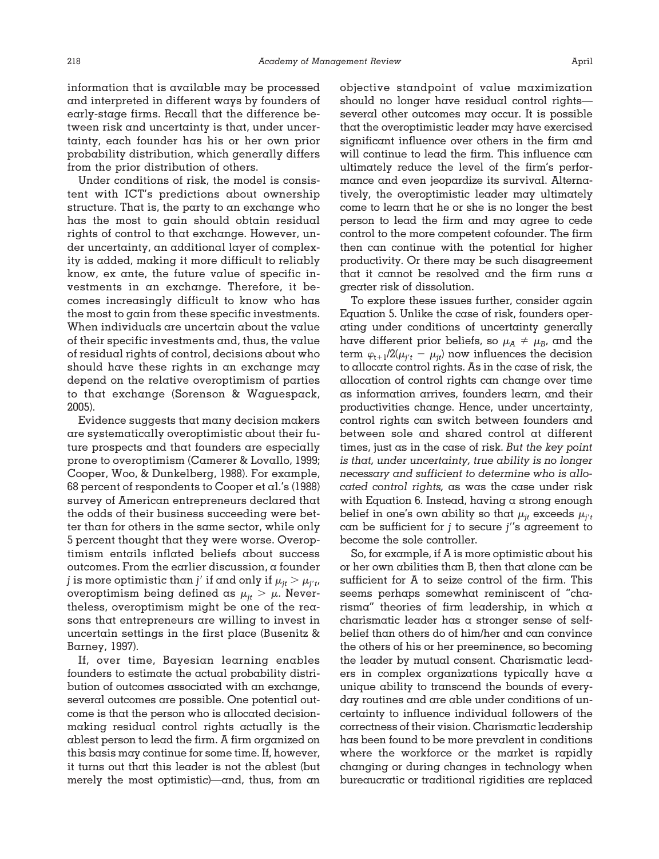information that is available may be processed and interpreted in different ways by founders of early-stage firms. Recall that the difference between risk and uncertainty is that, under uncertainty, each founder has his or her own prior probability distribution, which generally differs from the prior distribution of others.

Under conditions of risk, the model is consistent with ICT's predictions about ownership structure. That is, the party to an exchange who has the most to gain should obtain residual rights of control to that exchange. However, under uncertainty, an additional layer of complexity is added, making it more difficult to reliably know, ex ante, the future value of specific investments in an exchange. Therefore, it becomes increasingly difficult to know who has the most to gain from these specific investments. When individuals are uncertain about the value of their specific investments and, thus, the value of residual rights of control, decisions about who should have these rights in an exchange may depend on the relative overoptimism of parties to that exchange (Sorenson & Waguespack, 2005).

Evidence suggests that many decision makers are systematically overoptimistic about their future prospects and that founders are especially prone to overoptimism (Camerer & Lovallo, 1999; Cooper, Woo, & Dunkelberg, 1988). For example, 68 percent of respondents to Cooper et al.'s (1988) survey of American entrepreneurs declared that the odds of their business succeeding were better than for others in the same sector, while only 5 percent thought that they were worse. Overoptimism entails inflated beliefs about success outcomes. From the earlier discussion, a founder *j* is more optimistic than *j'* if and only if  $\mu_{jt} > \mu_{j't}$ , overoptimism being defined as  $\mu_{it} > \mu$ . Nevertheless, overoptimism might be one of the reasons that entrepreneurs are willing to invest in uncertain settings in the first place (Busenitz & Barney, 1997).

If, over time, Bayesian learning enables founders to estimate the actual probability distribution of outcomes associated with an exchange, several outcomes are possible. One potential outcome is that the person who is allocated decisionmaking residual control rights actually is the ablest person to lead the firm. A firm organized on this basis may continue for some time. If, however, it turns out that this leader is not the ablest (but merely the most optimistic)—and, thus, from an objective standpoint of value maximization should no longer have residual control rights several other outcomes may occur. It is possible that the overoptimistic leader may have exercised significant influence over others in the firm and will continue to lead the firm. This influence can ultimately reduce the level of the firm's performance and even jeopardize its survival. Alternatively, the overoptimistic leader may ultimately come to learn that he or she is no longer the best person to lead the firm and may agree to cede control to the more competent cofounder. The firm then can continue with the potential for higher productivity. Or there may be such disagreement that it cannot be resolved and the firm runs a greater risk of dissolution.

To explore these issues further, consider again Equation 5. Unlike the case of risk, founders operating under conditions of uncertainty generally have different prior beliefs, so  $\mu_A \neq \mu_B$ , and the term  $\varphi_{t+1}/2(\mu_{j^\prime t}^{} - \mu_{jt}^{})$  now influences the decision to allocate control rights. As in the case of risk, the allocation of control rights can change over time as information arrives, founders learn, and their productivities change. Hence, under uncertainty, control rights can switch between founders and between sole and shared control at different times, just as in the case of risk. *But the key point is that, under uncertainty, true ability is no longer necessary and sufficient to determine who is allocated control rights,* as was the case under risk with Equation 6. Instead, having a strong enough belief in one's own ability so that  $\mu_{it}$  exceeds  $\mu_{i't}$ can be sufficient for *j* to secure *j*'s agreement to become the sole controller.

So, for example, if A is more optimistic about his or her own abilities than B, then that alone can be sufficient for A to seize control of the firm. This seems perhaps somewhat reminiscent of "charisma" theories of firm leadership, in which a charismatic leader has a stronger sense of selfbelief than others do of him/her and can convince the others of his or her preeminence, so becoming the leader by mutual consent. Charismatic leaders in complex organizations typically have a unique ability to transcend the bounds of everyday routines and are able under conditions of uncertainty to influence individual followers of the correctness of their vision. Charismatic leadership has been found to be more prevalent in conditions where the workforce or the market is rapidly changing or during changes in technology when bureaucratic or traditional rigidities are replaced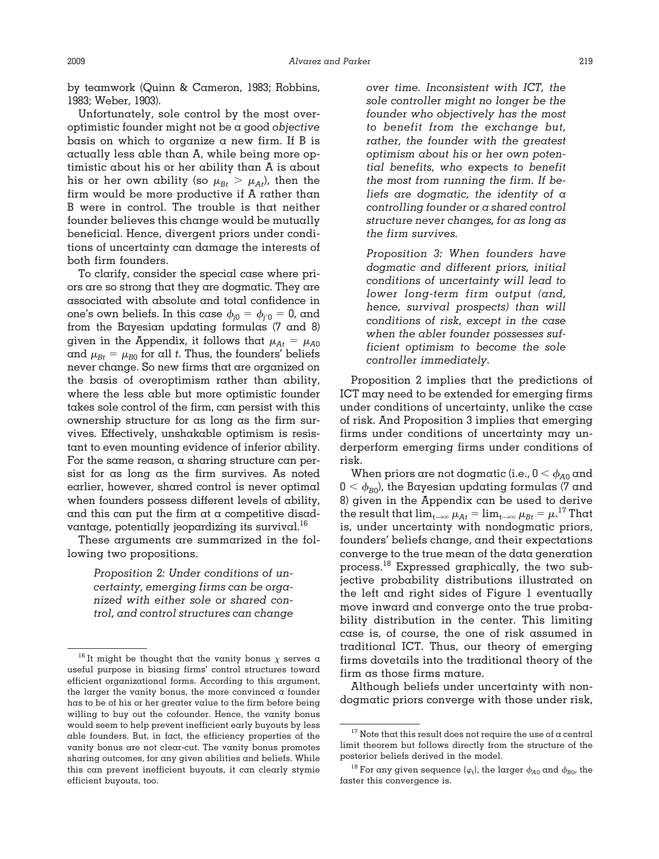by teamwork (Quinn & Cameron, 1983; Robbins, 1983; Weber, 1903).

Unfortunately, sole control by the most overoptimistic founder might not be a good *objective* basis on which to organize  $\alpha$  new firm. If B is actually less able than A, while being more optimistic about his or her ability than A is about his or her own ability (so  $\mu_{Bt} > \mu_{At}$ ), then the firm would be more productive if A rather than B were in control. The trouble is that neither founder believes this change would be mutually beneficial. Hence, divergent priors under conditions of uncertainty can damage the interests of both firm founders.

To clarify, consider the special case where priors are so strong that they are dogmatic. They are associated with absolute and total confidence in one's own beliefs. In this case  $\phi_{j0} = \phi_{j0} = 0$ , and from the Bayesian updating formulas (7 and 8) given in the Appendix, it follows that  $\mu_{At} = \mu_{A0}$ and  $\mu_{Bt} = \mu_{B0}$  for all *t*. Thus, the founders' beliefs never change. So new firms that are organized on the basis of overoptimism rather than ability, where the less able but more optimistic founder takes sole control of the firm, can persist with this ownership structure for as long as the firm survives. Effectively, unshakable optimism is resistant to even mounting evidence of inferior ability. For the same reason, a sharing structure can persist for as long as the firm survives. As noted earlier, however, shared control is never optimal when founders possess different levels of ability, and this can put the firm at a competitive disadvantage, potentially jeopardizing its survival. $^{16}$ 

These arguments are summarized in the following two propositions.

> *Proposition 2: Under conditions of uncertainty, emerging firms can be organized with either sole or shared control, and control structures can change*

*over time. Inconsistent with ICT, the sole controller might no longer be the founder who objectively has the most to benefit from the exchange but, rather, the founder with the greatest optimism about his or her own potential benefits, who* expects *to benefit the most from running the firm. If beliefs are dogmatic, the identity of a controlling founder or a shared control structure never changes, for as long as the firm survives.*

*Proposition 3: When founders have dogmatic and different priors, initial conditions of uncertainty will lead to lower long-term firm output (and, hence, survival prospects) than will conditions of risk, except in the case when the abler founder possesses sufficient optimism to become the sole controller immediately.*

Proposition 2 implies that the predictions of ICT may need to be extended for emerging firms under conditions of uncertainty, unlike the case of risk. And Proposition 3 implies that emerging firms under conditions of uncertainty may underperform emerging firms under conditions of risk.

When priors are not dogmatic (i.e.,  $0$   $<$   $\phi_{A0}$  and  $0<\phi_{B0}$ ), the Bayesian updating formulas (7 and 8) given in the Appendix can be used to derive the result that  $\lim_{t\to\infty}\mu_{At} = \lim_{t\to\infty}\mu_{Bt} = \mu^{17}$  That is, under uncertainty with nondogmatic priors, founders' beliefs change, and their expectations converge to the true mean of the data generation process.<sup>18</sup> Expressed graphically, the two subjective probability distributions illustrated on the left and right sides of Figure 1 eventually move inward and converge onto the true probability distribution in the center. This limiting case is, of course, the one of risk assumed in traditional ICT. Thus, our theory of emerging firms dovetails into the traditional theory of the firm as those firms mature.

Although beliefs under uncertainty with nondogmatic priors converge with those under risk,

<sup>&</sup>lt;sup>16</sup> It might be thought that the vanity bonus  $\chi$  serves a useful purpose in biasing firms' control structures toward efficient organizational forms. According to this argument, the larger the vanity bonus, the more convinced  $\alpha$  founder has to be of his or her greater value to the firm before being willing to buy out the cofounder. Hence, the vanity bonus would seem to help prevent inefficient early buyouts by less able founders. But, in fact, the efficiency properties of the vanity bonus are not clear-cut. The vanity bonus promotes sharing outcomes, for any given abilities and beliefs. While this can prevent inefficient buyouts, it can clearly stymie efficient buyouts, too.

 $17$  Note that this result does not require the use of a central limit theorem but follows directly from the structure of the posterior beliefs derived in the model.

<sup>&</sup>lt;sup>18</sup> For any given sequence  $\{\varphi_t\}$ , the larger  $\phi_{A0}$  and  $\phi_{B0}$ , the faster this convergence is.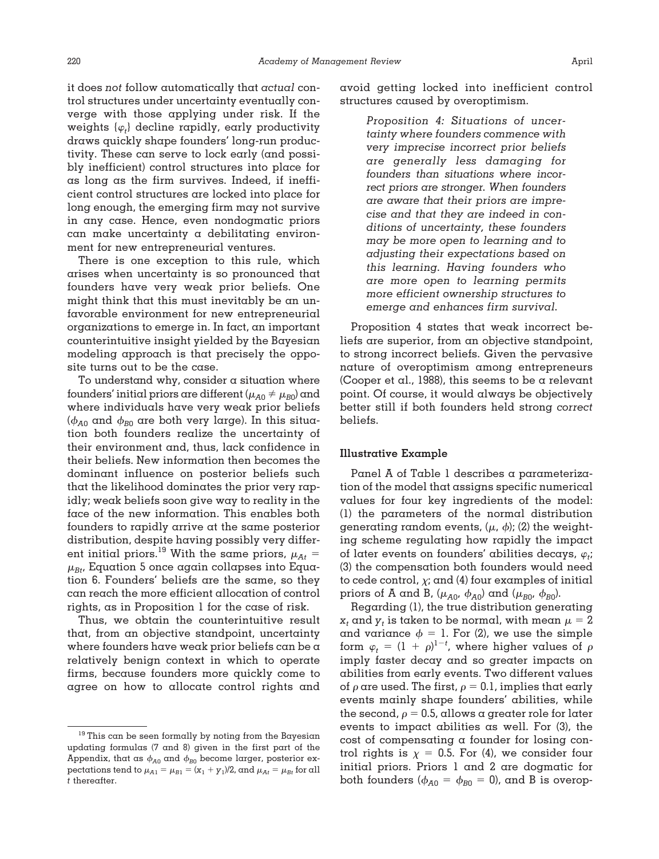it does *not* follow automatically that *actual* control structures under uncertainty eventually converge with those applying under risk. If the weights  $\{\varphi_t\}$  decline rapidly, early productivity draws quickly shape founders' long-run productivity. These can serve to lock early (and possibly inefficient) control structures into place for as long as the firm survives. Indeed, if inefficient control structures are locked into place for long enough, the emerging firm may not survive in any case. Hence, even nondogmatic priors can make uncertainty a debilitating environment for new entrepreneurial ventures.

There is one exception to this rule, which arises when uncertainty is so pronounced that founders have very weak prior beliefs. One might think that this must inevitably be an unfavorable environment for new entrepreneurial organizations to emerge in. In fact, an important counterintuitive insight yielded by the Bayesian modeling approach is that precisely the opposite turns out to be the case.

To understand why, consider a situation where founders' initial priors are different ( $\mu_{A0} \neq \mu_{B0}$ ) and where individuals have very weak prior beliefs  $(\phi_{A0}$  and  $\phi_{B0}$  are both very large). In this situation both founders realize the uncertainty of their environment and, thus, lack confidence in their beliefs. New information then becomes the dominant influence on posterior beliefs such that the likelihood dominates the prior very rapidly; weak beliefs soon give way to reality in the face of the new information. This enables both founders to rapidly arrive at the same posterior distribution, despite having possibly very different initial priors.<sup>19</sup> With the same priors,  $\mu_{A}$  =  $\mu_{Bt}$ , Equation 5 once again collapses into Equation 6. Founders' beliefs are the same, so they can reach the more efficient allocation of control rights, as in Proposition 1 for the case of risk.

Thus, we obtain the counterintuitive result that, from an objective standpoint, uncertainty where founders have weak prior beliefs can be a relatively benign context in which to operate firms, because founders more quickly come to agree on how to allocate control rights and

avoid getting locked into inefficient control structures caused by overoptimism.

> *Proposition 4: Situations of uncertainty where founders commence with very imprecise incorrect prior beliefs are generally less damaging for founders than situations where incorrect priors are stronger. When founders are aware that their priors are imprecise and that they are indeed in conditions of uncertainty, these founders may be more open to learning and to adjusting their expectations based on this learning. Having founders who are more open to learning permits more efficient ownership structures to emerge and enhances firm survival.*

Proposition 4 states that weak incorrect beliefs are superior, from an objective standpoint, to strong incorrect beliefs. Given the pervasive nature of overoptimism among entrepreneurs (Cooper et al., 1988), this seems to be a relevant point. Of course, it would always be objectively better still if both founders held strong *correct* beliefs.

## **Illustrative Example**

Panel A of Table 1 describes a parameterization of the model that assigns specific numerical values for four key ingredients of the model: (1) the parameters of the normal distribution generating random events,  $(\mu, \phi)$ ; (2) the weighting scheme regulating how rapidly the impact of later events on founders' abilities decays,  $\varphi_t$ ; (3) the compensation both founders would need to cede control,  $\chi$ ; and (4) four examples of initial priors of A and B,  $(\mu_{A0}, \phi_{A0})$  and  $(\mu_{B0}, \phi_{B0})$ .

Regarding (1), the true distribution generating  $x_t$  and  $y_t$  is taken to be normal, with mean  $\mu = 2$ and variance  $\phi = 1$ . For (2), we use the simple form  $\varphi_t = (1 + \rho)^{1-t}$ , where higher values of  $\rho$ imply faster decay and so greater impacts on abilities from early events. Two different values of  $\rho$  are used. The first,  $\rho = 0.1$ , implies that early events mainly shape founders' abilities, while the second,  $\rho = 0.5$ , allows a greater role for later events to impact abilities as well. For (3), the cost of compensating a founder for losing control rights is  $\chi = 0.5$ . For (4), we consider four initial priors. Priors 1 and 2 are dogmatic for both founders ( $\phi_{A0} = \phi_{B0} = 0$ ), and B is overop-

<sup>&</sup>lt;sup>19</sup> This can be seen formally by noting from the Bayesian updating formulas (7 and 8) given in the first part of the Appendix, that as  $\phi_{A0}$  and  $\phi_{B0}$  become larger, posterior expectations tend to  $\mu_{A1} = \mu_{B1} = (\mathrm{x}_1 + \mathrm{y}_1)/2$ , and  $\mu_{At} = \mu_{Bt}$  for all *t* thereafter.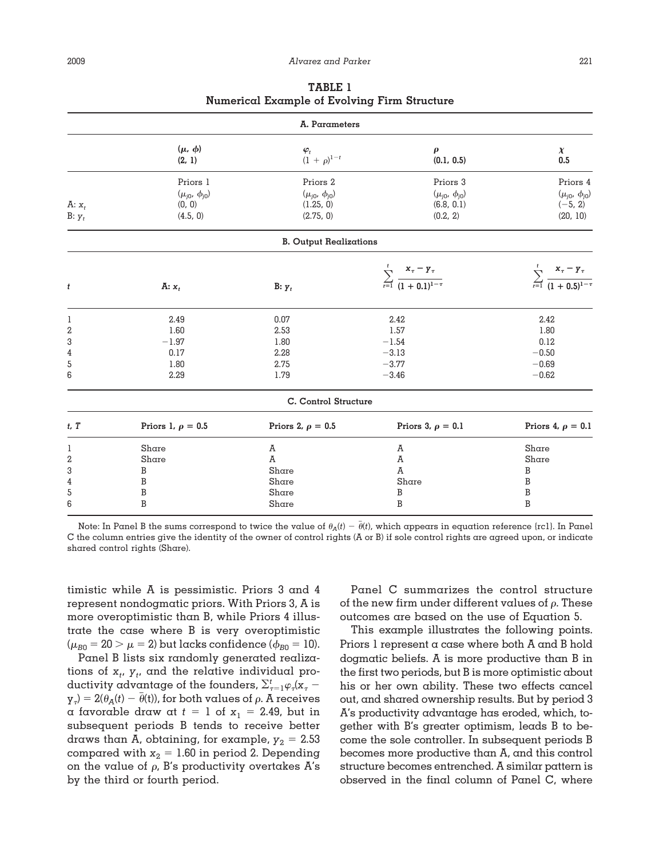| A. Parameters |                         |                                    |                                                                   |                                                                 |
|---------------|-------------------------|------------------------------------|-------------------------------------------------------------------|-----------------------------------------------------------------|
|               | $(\mu, \phi)$<br>(2, 1) | $\frac{\varphi_t}{(1+\rho)^{1-t}}$ | $\boldsymbol{\rho}$<br>(0.1, 0.5)                                 | $\chi$<br>0.5                                                   |
|               | Priors 1                | Priors 2                           | Priors 3                                                          | Priors 4                                                        |
|               | $(\mu_{j0}, \phi_{j0})$ | $(\mu_{j0}, \phi_{j0})$            | $(\mu_{j0}, \phi_{j0})$                                           | $(\mu_{j0}, \phi_{j0})$                                         |
| A: $x_t$      | (0, 0)                  | (1.25, 0)                          | (6.8, 0.1)                                                        | $(-5, 2)$                                                       |
| $B: y_t$      | (4.5, 0)                | (2.75, 0)                          | (0.2, 2)                                                          | (20, 10)                                                        |
|               |                         | <b>B.</b> Output Realizations      |                                                                   |                                                                 |
|               |                         |                                    |                                                                   |                                                                 |
| t             | A: $x_t$                | $B: y_t$                           | $\sum_{r=1}^t \frac{{\bf x}_\tau-{\bf y}_\tau}{(1+0.1)^{1-\tau}}$ | $\sum_{r=1}^{t} \frac{x_{\tau} - y_{\tau}}{(1 + 0.5)^{1-\tau}}$ |
| 1             | 2.49                    | 0.07                               | 2.42                                                              | 2.42                                                            |
| 2             | 1.60                    | 2.53                               | 1.57                                                              | 1.80                                                            |
| 3             | $-1.97$                 | 1.80                               | $-1.54$                                                           | 0.12                                                            |
| 4             | 0.17                    | 2.28                               | $-3.13$                                                           | $-0.50$                                                         |
| 5             | 1.80                    | 2.75                               | $-3.77$                                                           | $-0.69$                                                         |
| 6             | 2.29                    | 1.79                               | $-3.46$                                                           | $-0.62$                                                         |
|               |                         | C. Control Structure               |                                                                   |                                                                 |
| $t$ , $T$     | Priors 1, $\rho = 0.5$  | Priors 2, $\rho = 0.5$             | Priors 3, $\rho = 0.1$                                            | Priors 4, $\rho = 0.1$                                          |
| 1             | Share                   | A                                  | A                                                                 | Share                                                           |
| 2             | Share                   | A                                  | A                                                                 | Share                                                           |
| 3             | B                       | Share                              | A                                                                 | B                                                               |
| 4             | B                       | Share                              | Share                                                             | B                                                               |
| 5             | B                       | Share                              | B                                                                 | B                                                               |
| 6             | B                       | Share                              | B                                                                 | B                                                               |

**TABLE 1 Numerical Example of Evolving Firm Structure**

Note: In Panel B the sums correspond to twice the value of  $\theta_A(t) - \bar{\theta}(t)$ , which appears in equation reference {rc1}. In Panel C the column entries give the identity of the owner of control rights (A or B) if sole control rights are agreed upon, or indicate shared control rights (Share).

timistic while A is pessimistic. Priors 3 and 4 represent nondogmatic priors. With Priors 3, A is more overoptimistic than B, while Priors 4 illustrate the case where B is very overoptimistic  $(\mu_{B0} = 20 > \mu = 2)$  but lacks confidence ( $\phi_{B0} = 10$ ).

Panel B lists six randomly generated realizations of  $x_t$ ,  $y_t$ , and the relative individual productivity advantage of the founders,  $\sum_{\tau=1}^t \varphi_\tau(\mathbf{x}_{\tau} - \mathbf{z}_{\tau})$  $y_{\tau}$ ) = 2( $\theta_{A}(t) - \theta(t)$ ), for both values of  $\rho$ . A receives a favorable draw at  $t = 1$  of  $x_1 = 2.49$ , but in subsequent periods B tends to receive better draws than A, obtaining, for example,  $y_2 = 2.53$ compared with  $x_2 = 1.60$  in period 2. Depending on the value of  $\rho$ , B's productivity overtakes A's by the third or fourth period.

Panel C summarizes the control structure of the new firm under different values of  $\rho$ . These outcomes are based on the use of Equation 5.

This example illustrates the following points. Priors 1 represent a case where both A and B hold dogmatic beliefs. A is more productive than B in the first two periods, but B is more optimistic about his or her own ability. These two effects cancel out, and shared ownership results. But by period 3 A's productivity advantage has eroded, which, together with B's greater optimism, leads B to become the sole controller. In subsequent periods B becomes more productive than A, and this control structure becomes entrenched. A similar pattern is observed in the final column of Panel C, where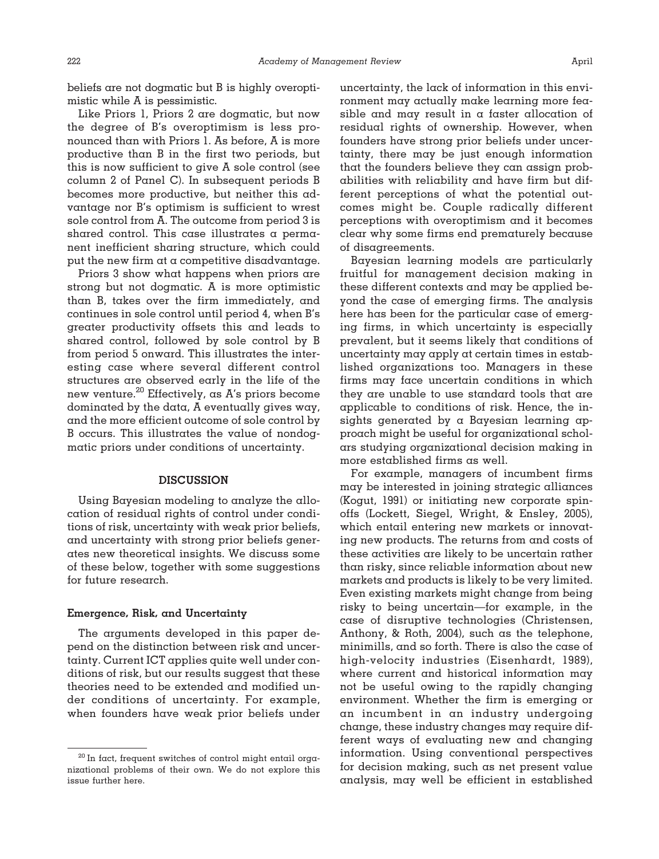beliefs are not dogmatic but B is highly overoptimistic while A is pessimistic.

Like Priors 1, Priors 2 are dogmatic, but now the degree of B's overoptimism is less pronounced than with Priors 1. As before, A is more productive than B in the first two periods, but this is now sufficient to give A sole control (see column 2 of Panel C). In subsequent periods B becomes more productive, but neither this advantage nor B's optimism is sufficient to wrest sole control from A. The outcome from period 3 is shared control. This case illustrates a permanent inefficient sharing structure, which could put the new firm at a competitive disadvantage.

Priors 3 show what happens when priors are strong but not dogmatic. A is more optimistic than B, takes over the firm immediately, and continues in sole control until period 4, when B's greater productivity offsets this and leads to shared control, followed by sole control by B from period 5 onward. This illustrates the interesting case where several different control structures are observed early in the life of the new venture.<sup>20</sup> Effectively, as A's priors become dominated by the data, A eventually gives way, and the more efficient outcome of sole control by B occurs. This illustrates the value of nondogmatic priors under conditions of uncertainty.

#### **DISCUSSION**

Using Bayesian modeling to analyze the allocation of residual rights of control under conditions of risk, uncertainty with weak prior beliefs, and uncertainty with strong prior beliefs generates new theoretical insights. We discuss some of these below, together with some suggestions for future research.

### **Emergence, Risk, and Uncertainty**

The arguments developed in this paper depend on the distinction between risk and uncertainty. Current ICT applies quite well under conditions of risk, but our results suggest that these theories need to be extended and modified under conditions of uncertainty. For example, when founders have weak prior beliefs under uncertainty, the lack of information in this environment may actually make learning more feasible and may result in a faster allocation of residual rights of ownership. However, when founders have strong prior beliefs under uncertainty, there may be just enough information that the founders believe they can assign probabilities with reliability and have firm but different perceptions of what the potential outcomes might be. Couple radically different perceptions with overoptimism and it becomes clear why some firms end prematurely because of disagreements.

Bayesian learning models are particularly fruitful for management decision making in these different contexts and may be applied beyond the case of emerging firms. The analysis here has been for the particular case of emerging firms, in which uncertainty is especially prevalent, but it seems likely that conditions of uncertainty may apply at certain times in established organizations too. Managers in these firms may face uncertain conditions in which they are unable to use standard tools that are applicable to conditions of risk. Hence, the insights generated by a Bayesian learning approach might be useful for organizational scholars studying organizational decision making in more established firms as well.

For example, managers of incumbent firms may be interested in joining strategic alliances (Kogut, 1991) or initiating new corporate spinoffs (Lockett, Siegel, Wright, & Ensley, 2005), which entail entering new markets or innovating new products. The returns from and costs of these activities are likely to be uncertain rather than risky, since reliable information about new markets and products is likely to be very limited. Even existing markets might change from being risky to being uncertain—for example, in the case of disruptive technologies (Christensen, Anthony, & Roth, 2004), such as the telephone, minimills, and so forth. There is also the case of high-velocity industries (Eisenhardt, 1989), where current and historical information may not be useful owing to the rapidly changing environment. Whether the firm is emerging or an incumbent in an industry undergoing change, these industry changes may require different ways of evaluating new and changing information. Using conventional perspectives for decision making, such as net present value analysis, may well be efficient in established

 $^{20}$  In fact, frequent switches of control might entail organizational problems of their own. We do not explore this issue further here.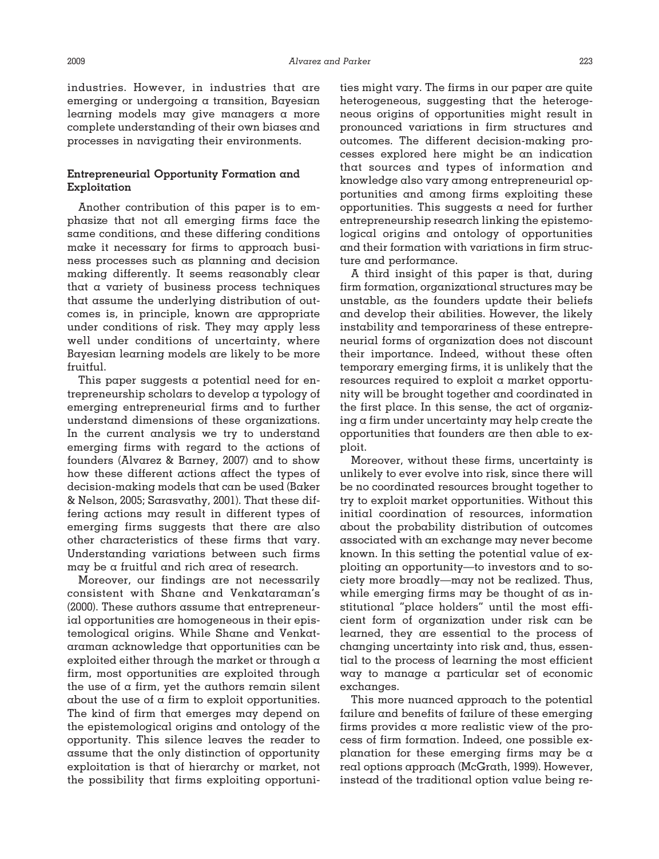industries. However, in industries that are emerging or undergoing a transition, Bayesian learning models may give managers a more complete understanding of their own biases and processes in navigating their environments.

## **Entrepreneurial Opportunity Formation and Exploitation**

Another contribution of this paper is to emphasize that not all emerging firms face the same conditions, and these differing conditions make it necessary for firms to approach business processes such as planning and decision making differently. It seems reasonably clear that a variety of business process techniques that assume the underlying distribution of outcomes is, in principle, known are appropriate under conditions of risk. They may apply less well under conditions of uncertainty, where Bayesian learning models are likely to be more fruitful.

This paper suggests a potential need for entrepreneurship scholars to develop a typology of emerging entrepreneurial firms and to further understand dimensions of these organizations. In the current analysis we try to understand emerging firms with regard to the actions of founders (Alvarez & Barney, 2007) and to show how these different actions affect the types of decision-making models that can be used (Baker & Nelson, 2005; Sarasvathy, 2001). That these differing actions may result in different types of emerging firms suggests that there are also other characteristics of these firms that vary. Understanding variations between such firms may be a fruitful and rich area of research.

Moreover, our findings are not necessarily consistent with Shane and Venkataraman's (2000). These authors assume that entrepreneurial opportunities are homogeneous in their epistemological origins. While Shane and Venkataraman acknowledge that opportunities can be exploited either through the market or through a firm, most opportunities are exploited through the use of  $\alpha$  firm, yet the authors remain silent about the use of a firm to exploit opportunities. The kind of firm that emerges may depend on the epistemological origins and ontology of the opportunity. This silence leaves the reader to assume that the only distinction of opportunity exploitation is that of hierarchy or market, not the possibility that firms exploiting opportunities might vary. The firms in our paper are quite heterogeneous, suggesting that the heterogeneous origins of opportunities might result in pronounced variations in firm structures and outcomes. The different decision-making processes explored here might be an indication that sources and types of information and knowledge also vary among entrepreneurial opportunities and among firms exploiting these opportunities. This suggests a need for further entrepreneurship research linking the epistemological origins and ontology of opportunities and their formation with variations in firm structure and performance.

A third insight of this paper is that, during firm formation, organizational structures may be unstable, as the founders update their beliefs and develop their abilities. However, the likely instability and temporariness of these entrepreneurial forms of organization does not discount their importance. Indeed, without these often temporary emerging firms, it is unlikely that the resources required to exploit a market opportunity will be brought together and coordinated in the first place. In this sense, the act of organizing a firm under uncertainty may help create the opportunities that founders are then able to exploit.

Moreover, without these firms, uncertainty is unlikely to ever evolve into risk, since there will be no coordinated resources brought together to try to exploit market opportunities. Without this initial coordination of resources, information about the probability distribution of outcomes associated with an exchange may never become known. In this setting the potential value of exploiting an opportunity—to investors and to society more broadly—may not be realized. Thus, while emerging firms may be thought of as institutional "place holders" until the most efficient form of organization under risk can be learned, they are essential to the process of changing uncertainty into risk and, thus, essential to the process of learning the most efficient way to manage a particular set of economic exchanges.

This more nuanced approach to the potential failure and benefits of failure of these emerging firms provides a more realistic view of the process of firm formation. Indeed, one possible explanation for these emerging firms may be  $\alpha$ real options approach (McGrath, 1999). However, instead of the traditional option value being re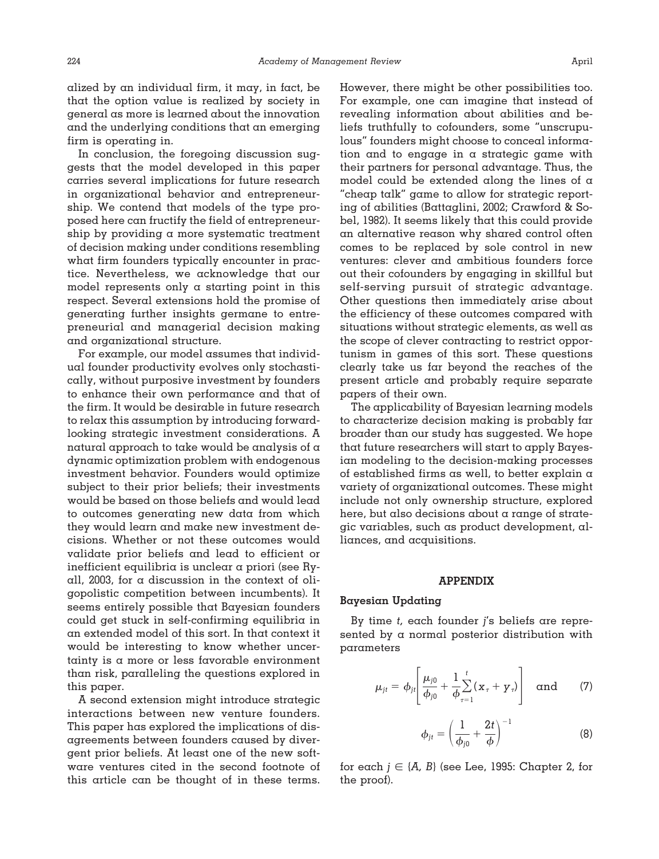alized by an individual firm, it may, in fact, be that the option value is realized by society in general as more is learned about the innovation and the underlying conditions that an emerging firm is operating in.

In conclusion, the foregoing discussion suggests that the model developed in this paper carries several implications for future research in organizational behavior and entrepreneurship. We contend that models of the type proposed here can fructify the field of entrepreneurship by providing  $\alpha$  more systematic treatment of decision making under conditions resembling what firm founders typically encounter in practice. Nevertheless, we acknowledge that our model represents only  $\alpha$  starting point in this respect. Several extensions hold the promise of generating further insights germane to entrepreneurial and managerial decision making and organizational structure.

For example, our model assumes that individual founder productivity evolves only stochastically, without purposive investment by founders to enhance their own performance and that of the firm. It would be desirable in future research to relax this assumption by introducing forwardlooking strategic investment considerations. A natural approach to take would be analysis of a dynamic optimization problem with endogenous investment behavior. Founders would optimize subject to their prior beliefs; their investments would be based on those beliefs and would lead to outcomes generating new data from which they would learn and make new investment decisions. Whether or not these outcomes would validate prior beliefs and lead to efficient or inefficient equilibria is unclear a priori (see Ryall, 2003, for a discussion in the context of oligopolistic competition between incumbents). It seems entirely possible that Bayesian founders could get stuck in self-confirming equilibria in an extended model of this sort. In that context it would be interesting to know whether uncertainty is a more or less favorable environment than risk, paralleling the questions explored in this paper.

A second extension might introduce strategic interactions between new venture founders. This paper has explored the implications of disagreements between founders caused by divergent prior beliefs. At least one of the new software ventures cited in the second footnote of this article can be thought of in these terms.

However, there might be other possibilities too. For example, one can imagine that instead of revealing information about abilities and beliefs truthfully to cofounders, some "unscrupulous" founders might choose to conceal information and to engage in a strategic game with their partners for personal advantage. Thus, the model could be extended along the lines of a "cheap talk" game to allow for strategic reporting of abilities (Battaglini, 2002; Crawford & Sobel, 1982). It seems likely that this could provide an alternative reason why shared control often comes to be replaced by sole control in new ventures: clever and ambitious founders force out their cofounders by engaging in skillful but self-serving pursuit of strategic advantage. Other questions then immediately arise about the efficiency of these outcomes compared with situations without strategic elements, as well as the scope of clever contracting to restrict opportunism in games of this sort. These questions clearly take us far beyond the reaches of the present article and probably require separate papers of their own.

The applicability of Bayesian learning models to characterize decision making is probably far broader than our study has suggested. We hope that future researchers will start to apply Bayesian modeling to the decision-making processes of established firms as well, to better explain a variety of organizational outcomes. These might include not only ownership structure, explored here, but also decisions about a range of strategic variables, such as product development, alliances, and acquisitions.

#### **APPENDIX**

#### **Bayesian Updating**

By time *t,* each founder *j*'s beliefs are represented by a normal posterior distribution with parameters

$$
\mu_{jt} = \phi_{jt} \left[ \frac{\mu_{j0}}{\phi_{j0}} + \frac{1}{\phi} \sum_{\tau=1}^{t} (x_{\tau} + y_{\tau}) \right] \text{ and } (7)
$$

$$
\phi_{jt} = \left(\frac{1}{\phi_{j0}} + \frac{2t}{\phi}\right)^{-1}
$$
 (8)

for each  $j\in\{A,\ B}$  (see Lee, 1995: Chapter 2, for the proof).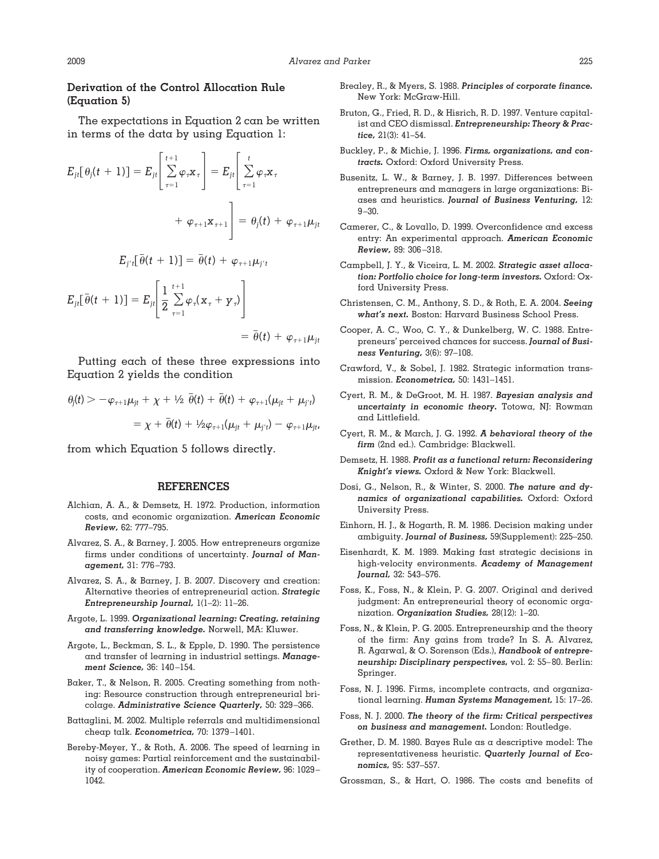## **Derivation of the Control Allocation Rule (Equation 5)**

The expectations in Equation 2 can be written in terms of the data by using Equation 1:

$$
E_{jt}[\theta_j(t+1)] = E_{jt} \left[ \sum_{\tau=1}^{t+1} \varphi_{\tau} \mathbf{x}_{\tau} \right] = E_{jt} \left[ \sum_{\tau=1}^{t} \varphi_{\tau} \mathbf{x}_{\tau} + \varphi_{\tau+1} \mathbf{x}_{\tau+1} \right] = \theta_j(t) + \varphi_{\tau+1} \mu_{jt}
$$

$$
E_{j't}[\bar{\theta}(t+1)] = \bar{\theta}(t) + \varphi_{\tau+1} \mu_{j't}
$$

 $E_{jt}[\bar{\theta}(t+1)] = E_{jt} \frac{1}{2} \sum_{\tau=1}^{t+1}$ *t*-1  $\varphi_{\tau}(\textbf{\textit{x}}_{\tau} + \textbf{\textit{y}}_{\tau})\bigg|$ 

 $= \bar{\theta}(t) + \varphi_{\tau+1} \mu_{jt}$ 

Putting each of these three expressions into Equation 2 yields the condition

$$
\theta_j(t) > -\varphi_{\tau+1}\mu_{jt} + \chi + \frac{1}{2}\bar{\theta}(t) + \bar{\theta}(t) + \varphi_{\tau+1}(\mu_{jt} + \mu_{j't})
$$

$$
= \chi + \bar{\theta}(t) + \frac{1}{2}\varphi_{\tau+1}(\mu_{jt} + \mu_{j't}) - \varphi_{\tau+1}\mu_{jt'}
$$

from which Equation 5 follows directly.

#### **REFERENCES**

- Alchian, A. A., & Demsetz, H. 1972. Production, information costs, and economic organization. *American Economic Review,* 62: 777–795.
- Alvarez, S. A., & Barney, J. 2005. How entrepreneurs organize firms under conditions of uncertainty. *Journal of Management,* 31: 776–793.
- Alvarez, S. A., & Barney, J. B. 2007. Discovery and creation: Alternative theories of entrepreneurial action. *Strategic Entrepreneurship Journal,* 1(1–2): 11–26.
- Argote, L. 1999. *Organizational learning: Creating, retaining and transferring knowledge.* Norwell, MA: Kluwer.
- Argote, L., Beckman, S. L., & Epple, D. 1990. The persistence and transfer of learning in industrial settings. *Management Science,* 36: 140–154.
- Baker, T., & Nelson, R. 2005. Creating something from nothing: Resource construction through entrepreneurial bricolage. *Administrative Science Quarterly,* 50: 329–366.
- Battaglini, M. 2002. Multiple referrals and multidimensional cheap talk. *Econometrica,* 70: 1379–1401.
- Bereby-Meyer, Y., & Roth, A. 2006. The speed of learning in noisy games: Partial reinforcement and the sustainability of cooperation. *American Economic Review,* 96: 1029– 1042.
- Brealey, R., & Myers, S. 1988. *Principles of corporate finance.* New York: McGraw-Hill.
- Bruton, G., Fried, R. D., & Hisrich, R. D. 1997. Venture capitalist and CEO dismissal. *Entrepreneurship: Theory & Practice,* 21(3): 41–54.
- Buckley, P., & Michie, J. 1996. *Firms, organizations, and contracts.* Oxford: Oxford University Press.
- Busenitz, L. W., & Barney, J. B. 1997. Differences between entrepreneurs and managers in large organizations: Biases and heuristics. *Journal of Business Venturing,* 12: 9–30.
- Camerer, C., & Lovallo, D. 1999. Overconfidence and excess entry: An experimental approach. *American Economic Review,* 89: 306–318.
- Campbell, J. Y., & Viceira, L. M. 2002. *Strategic asset allocation: Portfolio choice for long-term investors.* Oxford: Oxford University Press.
- Christensen, C. M., Anthony, S. D., & Roth, E. A. 2004. *Seeing what's next.* Boston: Harvard Business School Press.
- Cooper, A. C., Woo, C. Y., & Dunkelberg, W. C. 1988. Entrepreneurs' perceived chances for success. *Journal of Business Venturing,* 3(6): 97–108.
- Crawford, V., & Sobel, J. 1982. Strategic information transmission. *Econometrica,* 50: 1431–1451.
- Cyert, R. M., & DeGroot, M. H. 1987. *Bayesian analysis and uncertainty in economic theory.* Totowa, NJ: Rowman and Littlefield.
- Cyert, R. M., & March, J. G. 1992. *A behavioral theory of the firm* (2nd ed.). Cambridge: Blackwell.
- Demsetz, H. 1988. *Profit as a functional return: Reconsidering Knight's views.* Oxford & New York: Blackwell.
- Dosi, G., Nelson, R., & Winter, S. 2000. *The nature and dynamics of organizational capabilities.* Oxford: Oxford University Press.
- Einhorn, H. J., & Hogarth, R. M. 1986. Decision making under ambiguity. *Journal of Business,* 59(Supplement): 225–250.
- Eisenhardt, K. M. 1989. Making fast strategic decisions in high-velocity environments. *Academy of Management Journal,* 32: 543–576.
- Foss, K., Foss, N., & Klein, P. G. 2007. Original and derived judgment: An entrepreneurial theory of economic organization. *Organization Studies,* 28(12): 1–20.
- Foss, N., & Klein, P. G. 2005. Entrepreneurship and the theory of the firm: Any gains from trade? In S. A. Alvarez, R. Agarwal, & O. Sorenson (Eds.), *Handbook of entrepreneurship: Disciplinary perspectives,* vol. 2: 55–80. Berlin: Springer.
- Foss, N. J. 1996. Firms, incomplete contracts, and organizational learning. *Human Systems Management,* 15: 17–26.
- Foss, N. J. 2000. *The theory of the firm: Critical perspectives on business and management.* London: Routledge.
- Grether, D. M. 1980. Bayes Rule as a descriptive model: The representativeness heuristic. *Quarterly Journal of Economics,* 95: 537–557.
- Grossman, S., & Hart, O. 1986. The costs and benefits of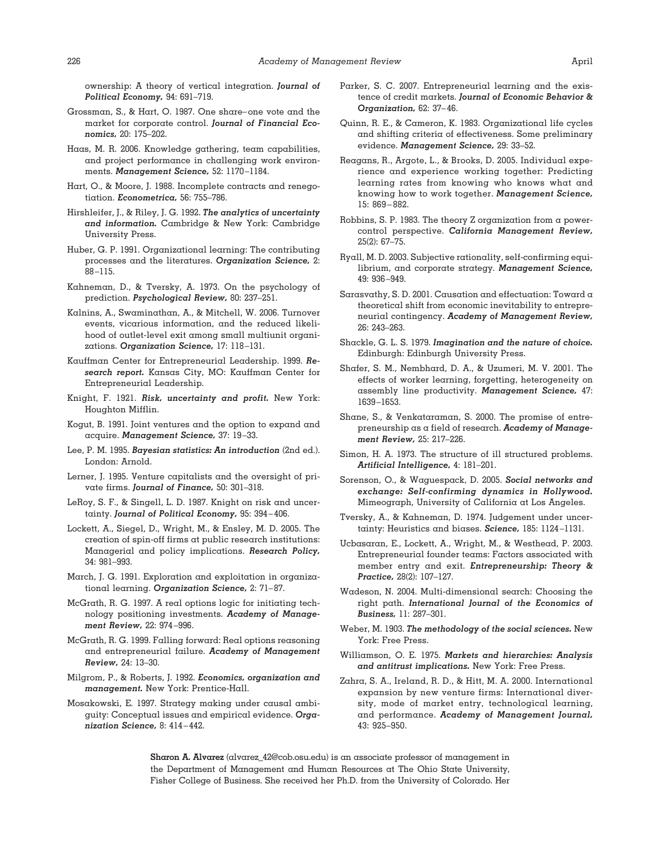ownership: A theory of vertical integration. *Journal of Political Economy,* 94: 691–719.

- Grossman, S., & Hart, O. 1987. One share–one vote and the market for corporate control. *Journal of Financial Economics,* 20: 175–202.
- Haas, M. R. 2006. Knowledge gathering, team capabilities, and project performance in challenging work environments. *Management Science,* 52: 1170–1184.
- Hart, O., & Moore, J. 1988. Incomplete contracts and renegotiation. *Econometrica,* 56: 755–786.
- Hirshleifer, J., & Riley, J. G. 1992. *The analytics of uncertainty and information.* Cambridge & New York: Cambridge University Press.
- Huber, G. P. 1991. Organizational learning: The contributing processes and the literatures. *Organization Science,* 2: 88–115.
- Kahneman, D., & Tversky, A. 1973. On the psychology of prediction. *Psychological Review,* 80: 237–251.
- Kalnins, A., Swaminathan, A., & Mitchell, W. 2006. Turnover events, vicarious information, and the reduced likelihood of outlet-level exit among small multiunit organizations. *Organization Science,* 17: 118–131.
- Kauffman Center for Entrepreneurial Leadership. 1999. *Research report.* Kansas City, MO: Kauffman Center for Entrepreneurial Leadership.
- Knight, F. 1921. *Risk, uncertainty and profit.* New York: Houghton Mifflin.
- Kogut, B. 1991. Joint ventures and the option to expand and acquire. *Management Science,* 37: 19–33.
- Lee, P. M. 1995. *Bayesian statistics: An introduction* (2nd ed.). London: Arnold.
- Lerner, J. 1995. Venture capitalists and the oversight of private firms. *Journal of Finance,* 50: 301–318.
- LeRoy, S. F., & Singell, L. D. 1987. Knight on risk and uncertainty. *Journal of Political Economy,* 95: 394–406.
- Lockett, A., Siegel, D., Wright, M., & Ensley, M. D. 2005. The creation of spin-off firms at public research institutions: Managerial and policy implications. *Research Policy,* 34: 981–993.
- March, J. G. 1991. Exploration and exploitation in organizational learning. *Organization Science,* 2: 71–87.
- McGrath, R. G. 1997. A real options logic for initiating technology positioning investments. *Academy of Management Review,* 22: 974–996.
- McGrath, R. G. 1999. Falling forward: Real options reasoning and entrepreneurial failure. *Academy of Management Review,* 24: 13–30.
- Milgrom, P., & Roberts, J. 1992. *Economics, organization and management.* New York: Prentice-Hall.
- Mosakowski, E. 1997. Strategy making under causal ambiguity: Conceptual issues and empirical evidence. *Organization Science,* 8: 414–442.
- Parker, S. C. 2007. Entrepreneurial learning and the existence of credit markets. *Journal of Economic Behavior & Organization,* 62: 37–46.
- Quinn, R. E., & Cameron, K. 1983. Organizational life cycles and shifting criteria of effectiveness. Some preliminary evidence. *Management Science,* 29: 33–52.
- Reagans, R., Argote, L., & Brooks, D. 2005. Individual experience and experience working together: Predicting learning rates from knowing who knows what and knowing how to work together. *Management Science,* 15: 869–882.
- Robbins, S. P. 1983. The theory Z organization from a powercontrol perspective. *California Management Review,* 25(2): 67–75.
- Ryall, M. D. 2003. Subjective rationality, self-confirming equilibrium, and corporate strategy. *Management Science,* 49: 936–949.
- Sarasvathy, S. D. 2001. Causation and effectuation: Toward a theoretical shift from economic inevitability to entrepreneurial contingency. *Academy of Management Review,* 26: 243–263.
- Shackle, G. L. S. 1979. *Imagination and the nature of choice.* Edinburgh: Edinburgh University Press.
- Shafer, S. M., Nembhard, D. A., & Uzumeri, M. V. 2001. The effects of worker learning, forgetting, heterogeneity on assembly line productivity. *Management Science,* 47: 1639–1653.
- Shane, S., & Venkataraman, S. 2000. The promise of entrepreneurship as a field of research. *Academy of Management Review,* 25: 217–226.
- Simon, H. A. 1973. The structure of ill structured problems. *Artificial Intelligence,* 4: 181–201.
- Sorenson, O., & Waguespack, D. 2005. *Social networks and exchange: Self-confirming dynamics in Hollywood.* Mimeograph, University of California at Los Angeles.
- Tversky, A., & Kahneman, D. 1974. Judgement under uncertainty: Heuristics and biases. *Science,* 185: 1124–1131.
- Ucbasaran, E., Lockett, A., Wright, M., & Westhead, P. 2003. Entrepreneurial founder teams: Factors associated with member entry and exit. *Entrepreneurship: Theory & Practice,* 28(2): 107–127.
- Wadeson, N. 2004. Multi-dimensional search: Choosing the right path. *International Journal of the Economics of Business,* 11: 287–301.
- Weber, M. 1903. *The methodology of the social sciences.* New York: Free Press.
- Williamson, O. E. 1975. *Markets and hierarchies: Analysis and antitrust implications.* New York: Free Press.
- Zahra, S. A., Ireland, R. D., & Hitt, M. A. 2000. International expansion by new venture firms: International diversity, mode of market entry, technological learning, and performance. *Academy of Management Journal,* 43: 925–950.

**Sharon A. Alvarez** (alvarez\_42@cob.osu.edu) is an associate professor of management in the Department of Management and Human Resources at The Ohio State University, Fisher College of Business. She received her Ph.D. from the University of Colorado. Her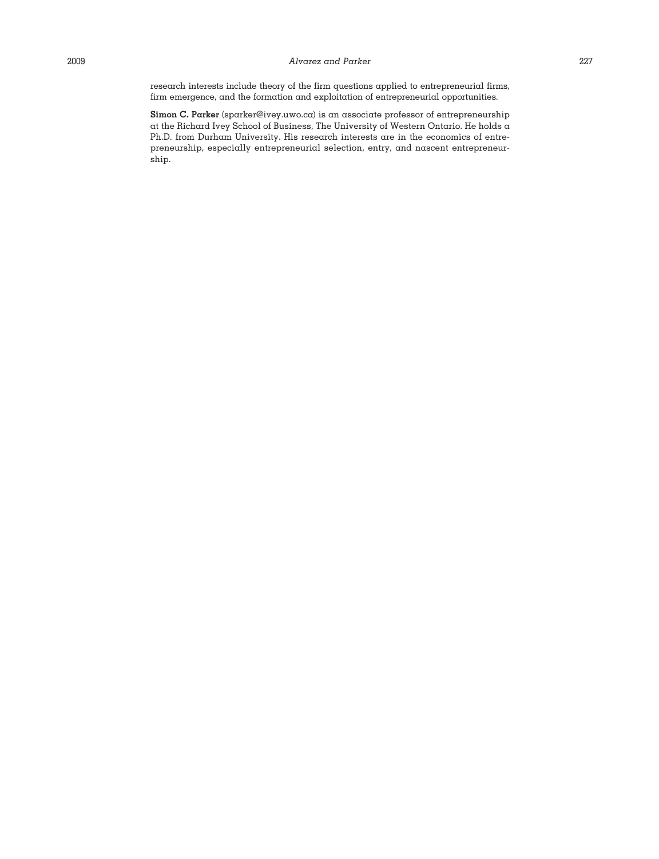research interests include theory of the firm questions applied to entrepreneurial firms, firm emergence, and the formation and exploitation of entrepreneurial opportunities.

**Simon C. Parker** (sparker@ivey.uwo.ca) is an associate professor of entrepreneurship at the Richard Ivey School of Business, The University of Western Ontario. He holds a Ph.D. from Durham University. His research interests are in the economics of entrepreneurship, especially entrepreneurial selection, entry, and nascent entrepreneurship.